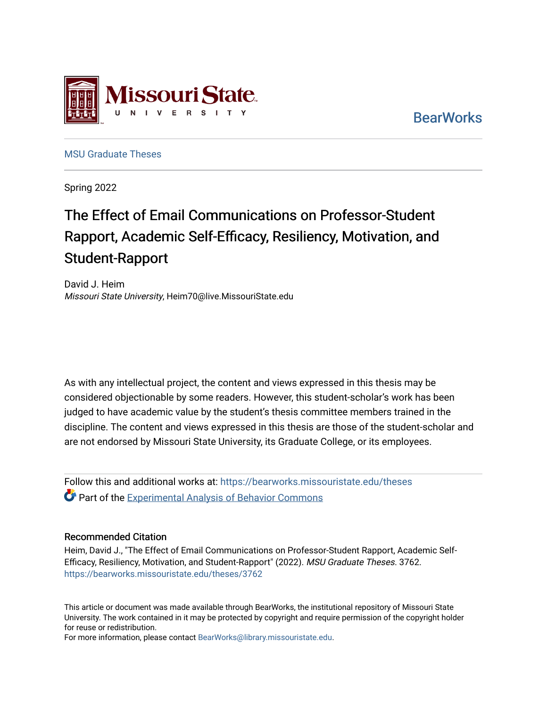

**BearWorks** 

[MSU Graduate Theses](https://bearworks.missouristate.edu/theses) 

Spring 2022

# The Effect of Email Communications on Professor-Student Rapport, Academic Self-Efficacy, Resiliency, Motivation, and Student-Rapport

David J. Heim Missouri State University, Heim70@live.MissouriState.edu

As with any intellectual project, the content and views expressed in this thesis may be considered objectionable by some readers. However, this student-scholar's work has been judged to have academic value by the student's thesis committee members trained in the discipline. The content and views expressed in this thesis are those of the student-scholar and are not endorsed by Missouri State University, its Graduate College, or its employees.

Follow this and additional works at: [https://bearworks.missouristate.edu/theses](https://bearworks.missouristate.edu/theses?utm_source=bearworks.missouristate.edu%2Ftheses%2F3762&utm_medium=PDF&utm_campaign=PDFCoverPages)  **C** Part of the Experimental Analysis of Behavior Commons

#### Recommended Citation

Heim, David J., "The Effect of Email Communications on Professor-Student Rapport, Academic Self-Efficacy, Resiliency, Motivation, and Student-Rapport" (2022). MSU Graduate Theses. 3762. [https://bearworks.missouristate.edu/theses/3762](https://bearworks.missouristate.edu/theses/3762?utm_source=bearworks.missouristate.edu%2Ftheses%2F3762&utm_medium=PDF&utm_campaign=PDFCoverPages) 

This article or document was made available through BearWorks, the institutional repository of Missouri State University. The work contained in it may be protected by copyright and require permission of the copyright holder for reuse or redistribution.

For more information, please contact [BearWorks@library.missouristate.edu.](mailto:BearWorks@library.missouristate.edu)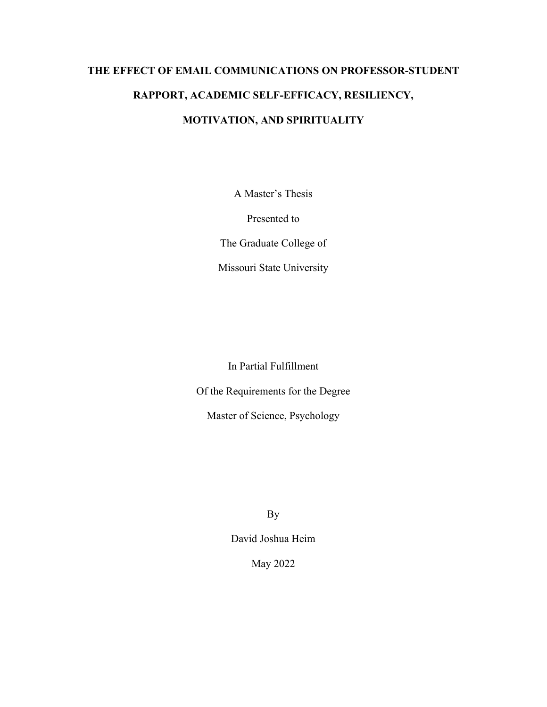# **THE EFFECT OF EMAIL COMMUNICATIONS ON PROFESSOR-STUDENT RAPPORT, ACADEMIC SELF-EFFICACY, RESILIENCY, MOTIVATION, AND SPIRITUALITY**

A Master's Thesis

Presented to

The Graduate College of

Missouri State University

In Partial Fulfillment

Of the Requirements for the Degree

Master of Science, Psychology

By

David Joshua Heim

May 2022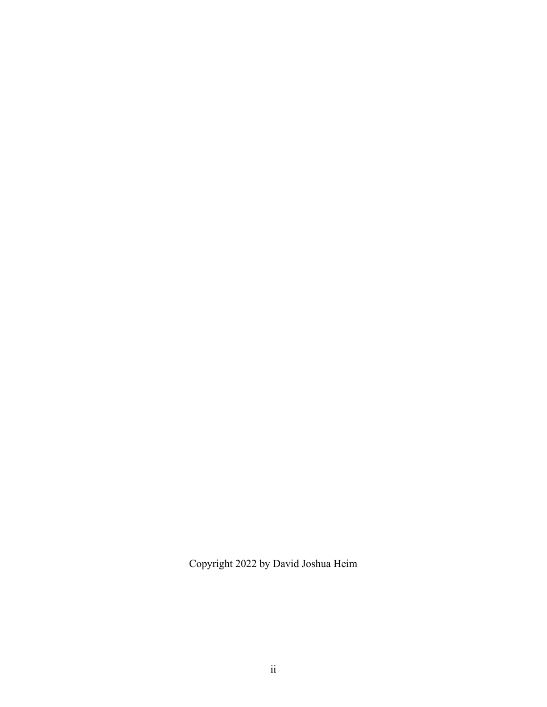Copyright 2022 by David Joshua Heim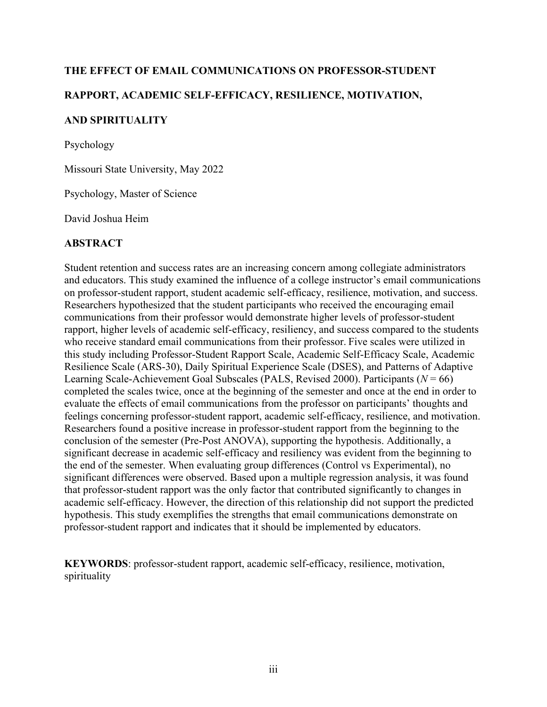### **THE EFFECT OF EMAIL COMMUNICATIONS ON PROFESSOR-STUDENT**

## **RAPPORT, ACADEMIC SELF-EFFICACY, RESILIENCE, MOTIVATION,**

### **AND SPIRITUALITY**

Psychology

Missouri State University, May 2022

Psychology, Master of Science

David Joshua Heim

### **ABSTRACT**

Student retention and success rates are an increasing concern among collegiate administrators and educators. This study examined the influence of a college instructor's email communications on professor-student rapport, student academic self-efficacy, resilience, motivation, and success. Researchers hypothesized that the student participants who received the encouraging email communications from their professor would demonstrate higher levels of professor-student rapport, higher levels of academic self-efficacy, resiliency, and success compared to the students who receive standard email communications from their professor. Five scales were utilized in this study including Professor-Student Rapport Scale, Academic Self-Efficacy Scale, Academic Resilience Scale (ARS-30), Daily Spiritual Experience Scale (DSES), and Patterns of Adaptive Learning Scale-Achievement Goal Subscales (PALS, Revised 2000). Participants (*N* = 66) completed the scales twice, once at the beginning of the semester and once at the end in order to evaluate the effects of email communications from the professor on participants' thoughts and feelings concerning professor-student rapport, academic self-efficacy, resilience, and motivation. Researchers found a positive increase in professor-student rapport from the beginning to the conclusion of the semester (Pre-Post ANOVA), supporting the hypothesis. Additionally, a significant decrease in academic self-efficacy and resiliency was evident from the beginning to the end of the semester. When evaluating group differences (Control vs Experimental), no significant differences were observed. Based upon a multiple regression analysis, it was found that professor-student rapport was the only factor that contributed significantly to changes in academic self-efficacy. However, the direction of this relationship did not support the predicted hypothesis. This study exemplifies the strengths that email communications demonstrate on professor-student rapport and indicates that it should be implemented by educators.

**KEYWORDS**: professor-student rapport, academic self-efficacy, resilience, motivation, spirituality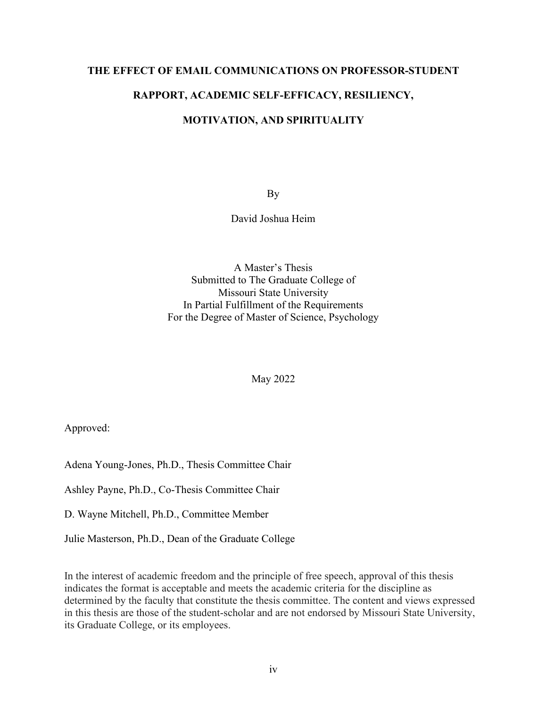# **THE EFFECT OF EMAIL COMMUNICATIONS ON PROFESSOR-STUDENT**

## **RAPPORT, ACADEMIC SELF-EFFICACY, RESILIENCY,**

## **MOTIVATION, AND SPIRITUALITY**

By

David Joshua Heim

A Master's Thesis Submitted to The Graduate College of Missouri State University In Partial Fulfillment of the Requirements For the Degree of Master of Science, Psychology

May 2022

Approved:

Adena Young-Jones, Ph.D., Thesis Committee Chair

Ashley Payne, Ph.D., Co-Thesis Committee Chair

D. Wayne Mitchell, Ph.D., Committee Member

Julie Masterson, Ph.D., Dean of the Graduate College

In the interest of academic freedom and the principle of free speech, approval of this thesis indicates the format is acceptable and meets the academic criteria for the discipline as determined by the faculty that constitute the thesis committee. The content and views expressed in this thesis are those of the student-scholar and are not endorsed by Missouri State University, its Graduate College, or its employees.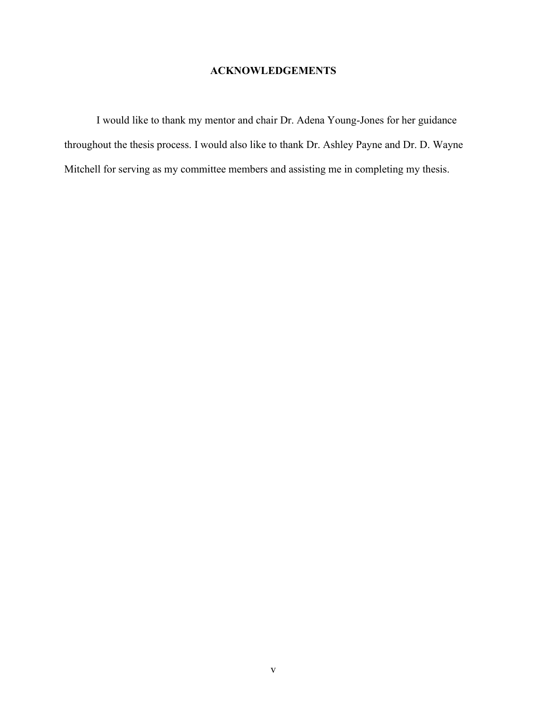# **ACKNOWLEDGEMENTS**

I would like to thank my mentor and chair Dr. Adena Young-Jones for her guidance throughout the thesis process. I would also like to thank Dr. Ashley Payne and Dr. D. Wayne Mitchell for serving as my committee members and assisting me in completing my thesis.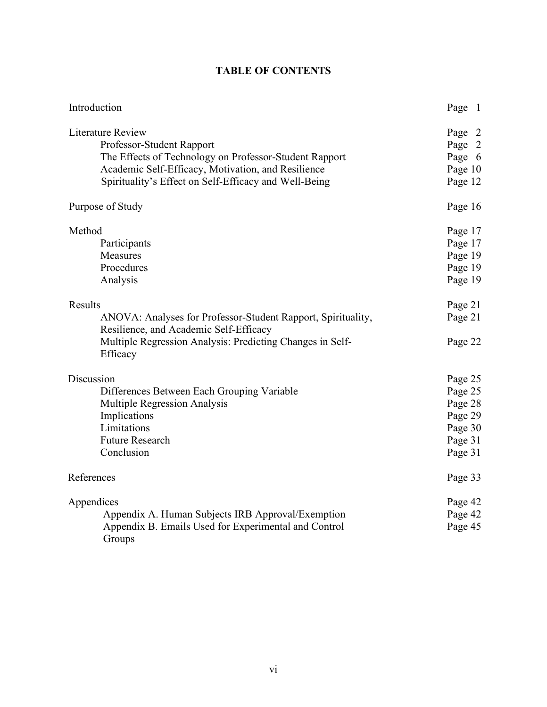| Introduction                                                                                                                                                                                                                   | Page 1                                                                    |
|--------------------------------------------------------------------------------------------------------------------------------------------------------------------------------------------------------------------------------|---------------------------------------------------------------------------|
| <b>Literature Review</b><br>Professor-Student Rapport<br>The Effects of Technology on Professor-Student Rapport<br>Academic Self-Efficacy, Motivation, and Resilience<br>Spirituality's Effect on Self-Efficacy and Well-Being | Page 2<br>Page 2<br>Page 6<br>Page 10<br>Page 12                          |
| Purpose of Study                                                                                                                                                                                                               | Page 16                                                                   |
| Method<br>Participants<br>Measures<br>Procedures<br>Analysis                                                                                                                                                                   | Page 17<br>Page 17<br>Page 19<br>Page 19<br>Page 19                       |
| Results<br>ANOVA: Analyses for Professor-Student Rapport, Spirituality,<br>Resilience, and Academic Self-Efficacy<br>Multiple Regression Analysis: Predicting Changes in Self-                                                 | Page 21<br>Page 21<br>Page 22                                             |
| Efficacy<br>Discussion<br>Differences Between Each Grouping Variable<br>Multiple Regression Analysis<br>Implications<br>Limitations<br><b>Future Research</b><br>Conclusion                                                    | Page 25<br>Page 25<br>Page 28<br>Page 29<br>Page 30<br>Page 31<br>Page 31 |
| References                                                                                                                                                                                                                     | Page 33                                                                   |
| Appendices<br>Appendix A. Human Subjects IRB Approval/Exemption<br>Appendix B. Emails Used for Experimental and Control<br>Groups                                                                                              | Page 42<br>Page 42<br>Page 45                                             |

# **TABLE OF CONTENTS**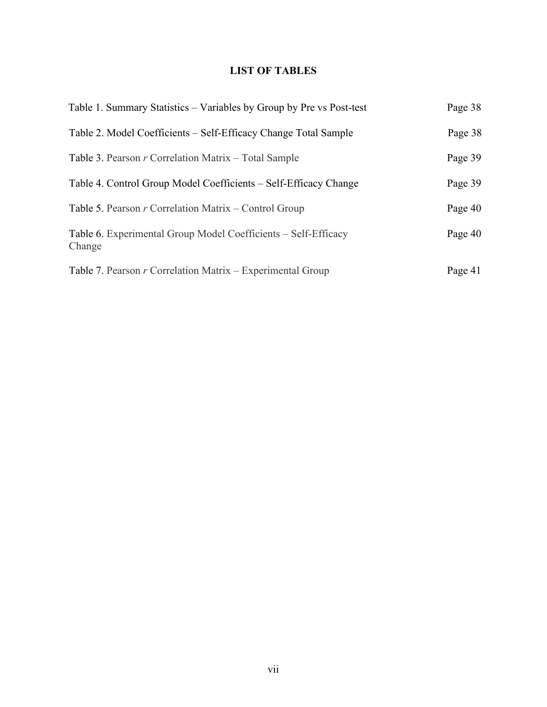# **LIST OF TABLES**

| Table 1. Summary Statistics – Variables by Group by Pre vs Post-test     | Page 38 |
|--------------------------------------------------------------------------|---------|
| Table 2. Model Coefficients – Self-Efficacy Change Total Sample          | Page 38 |
| Table 3. Pearson $r$ Correlation Matrix – Total Sample                   | Page 39 |
| Table 4. Control Group Model Coefficients – Self-Efficacy Change         | Page 39 |
| Table 5. Pearson $r$ Correlation Matrix – Control Group                  | Page 40 |
| Table 6. Experimental Group Model Coefficients – Self-Efficacy<br>Change | Page 40 |
| Table 7. Pearson $r$ Correlation Matrix – Experimental Group             | Page 41 |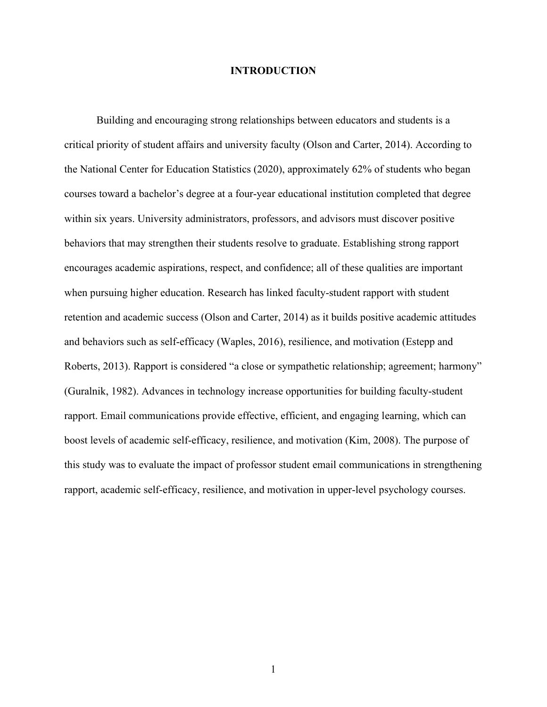#### **INTRODUCTION**

Building and encouraging strong relationships between educators and students is a critical priority of student affairs and university faculty (Olson and Carter, 2014). According to the National Center for Education Statistics (2020), approximately 62% of students who began courses toward a bachelor's degree at a four-year educational institution completed that degree within six years. University administrators, professors, and advisors must discover positive behaviors that may strengthen their students resolve to graduate. Establishing strong rapport encourages academic aspirations, respect, and confidence; all of these qualities are important when pursuing higher education. Research has linked faculty-student rapport with student retention and academic success (Olson and Carter, 2014) as it builds positive academic attitudes and behaviors such as self-efficacy (Waples, 2016), resilience, and motivation (Estepp and Roberts, 2013). Rapport is considered "a close or sympathetic relationship; agreement; harmony" (Guralnik, 1982). Advances in technology increase opportunities for building faculty-student rapport. Email communications provide effective, efficient, and engaging learning, which can boost levels of academic self-efficacy, resilience, and motivation (Kim, 2008). The purpose of this study was to evaluate the impact of professor student email communications in strengthening rapport, academic self-efficacy, resilience, and motivation in upper-level psychology courses.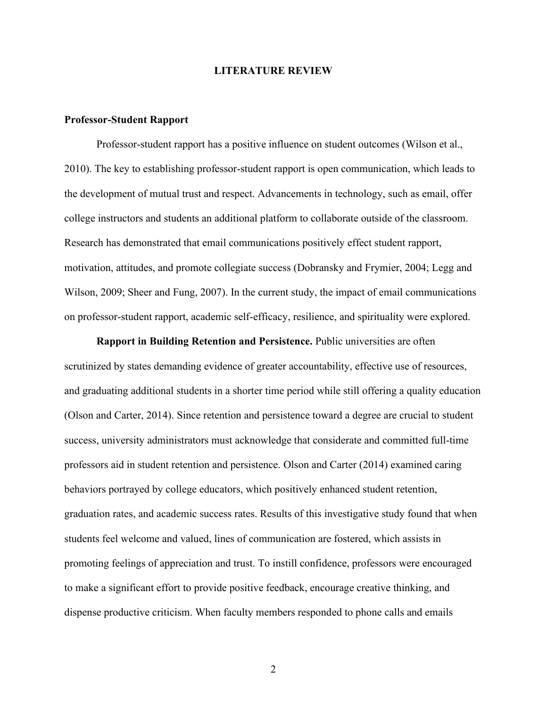#### **LITERATURE REVIEW**

#### **Professor-Student Rapport**

Professor-student rapport has a positive influence on student outcomes (Wilson et al., 2010). The key to establishing professor-student rapport is open communication, which leads to the development of mutual trust and respect. Advancements in technology, such as email, offer college instructors and students an additional platform to collaborate outside of the classroom. Research has demonstrated that email communications positively effect student rapport, motivation, attitudes, and promote collegiate success (Dobransky and Frymier, 2004; Legg and Wilson, 2009; Sheer and Fung, 2007). In the current study, the impact of email communications on professor-student rapport, academic self-efficacy, resilience, and spirituality were explored.

**Rapport in Building Retention and Persistence.** Public universities are often scrutinized by states demanding evidence of greater accountability, effective use of resources, and graduating additional students in a shorter time period while still offering a quality education (Olson and Carter, 2014). Since retention and persistence toward a degree are crucial to student success, university administrators must acknowledge that considerate and committed full-time professors aid in student retention and persistence. Olson and Carter (2014) examined caring behaviors portrayed by college educators, which positively enhanced student retention, graduation rates, and academic success rates. Results of this investigative study found that when students feel welcome and valued, lines of communication are fostered, which assists in promoting feelings of appreciation and trust. To instill confidence, professors were encouraged to make a significant effort to provide positive feedback, encourage creative thinking, and dispense productive criticism. When faculty members responded to phone calls and emails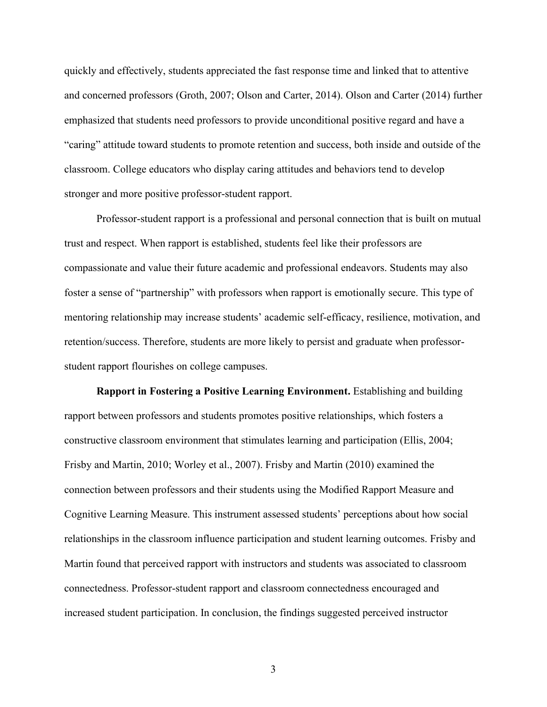quickly and effectively, students appreciated the fast response time and linked that to attentive and concerned professors (Groth, 2007; Olson and Carter, 2014). Olson and Carter (2014) further emphasized that students need professors to provide unconditional positive regard and have a "caring" attitude toward students to promote retention and success, both inside and outside of the classroom. College educators who display caring attitudes and behaviors tend to develop stronger and more positive professor-student rapport.

Professor-student rapport is a professional and personal connection that is built on mutual trust and respect. When rapport is established, students feel like their professors are compassionate and value their future academic and professional endeavors. Students may also foster a sense of "partnership" with professors when rapport is emotionally secure. This type of mentoring relationship may increase students' academic self-efficacy, resilience, motivation, and retention/success. Therefore, students are more likely to persist and graduate when professorstudent rapport flourishes on college campuses.

**Rapport in Fostering a Positive Learning Environment.** Establishing and building rapport between professors and students promotes positive relationships, which fosters a constructive classroom environment that stimulates learning and participation (Ellis, 2004; Frisby and Martin, 2010; Worley et al., 2007). Frisby and Martin (2010) examined the connection between professors and their students using the Modified Rapport Measure and Cognitive Learning Measure. This instrument assessed students' perceptions about how social relationships in the classroom influence participation and student learning outcomes. Frisby and Martin found that perceived rapport with instructors and students was associated to classroom connectedness. Professor-student rapport and classroom connectedness encouraged and increased student participation. In conclusion, the findings suggested perceived instructor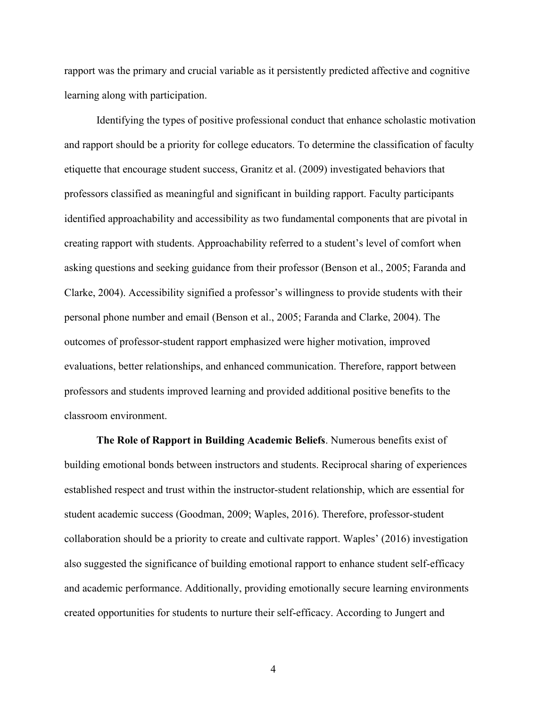rapport was the primary and crucial variable as it persistently predicted affective and cognitive learning along with participation.

Identifying the types of positive professional conduct that enhance scholastic motivation and rapport should be a priority for college educators. To determine the classification of faculty etiquette that encourage student success, Granitz et al. (2009) investigated behaviors that professors classified as meaningful and significant in building rapport. Faculty participants identified approachability and accessibility as two fundamental components that are pivotal in creating rapport with students. Approachability referred to a student's level of comfort when asking questions and seeking guidance from their professor (Benson et al., 2005; Faranda and Clarke, 2004). Accessibility signified a professor's willingness to provide students with their personal phone number and email (Benson et al., 2005; Faranda and Clarke, 2004). The outcomes of professor-student rapport emphasized were higher motivation, improved evaluations, better relationships, and enhanced communication. Therefore, rapport between professors and students improved learning and provided additional positive benefits to the classroom environment.

**The Role of Rapport in Building Academic Beliefs**. Numerous benefits exist of building emotional bonds between instructors and students. Reciprocal sharing of experiences established respect and trust within the instructor-student relationship, which are essential for student academic success (Goodman, 2009; Waples, 2016). Therefore, professor-student collaboration should be a priority to create and cultivate rapport. Waples' (2016) investigation also suggested the significance of building emotional rapport to enhance student self-efficacy and academic performance. Additionally, providing emotionally secure learning environments created opportunities for students to nurture their self-efficacy. According to Jungert and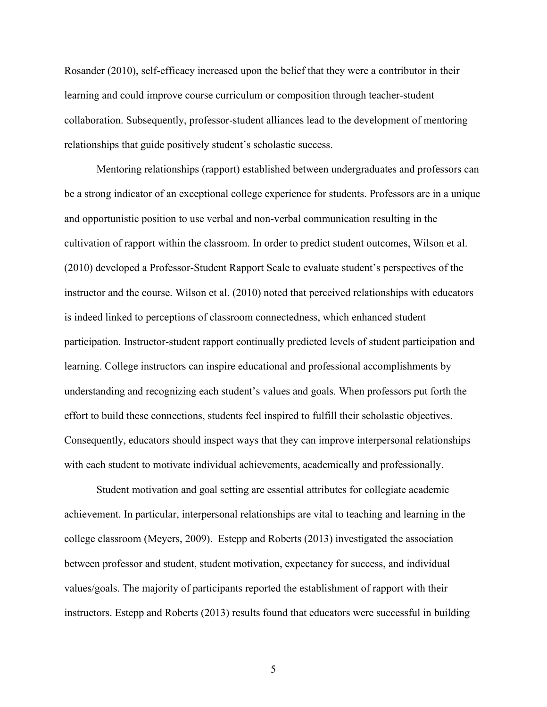Rosander (2010), self-efficacy increased upon the belief that they were a contributor in their learning and could improve course curriculum or composition through teacher-student collaboration. Subsequently, professor-student alliances lead to the development of mentoring relationships that guide positively student's scholastic success.

Mentoring relationships (rapport) established between undergraduates and professors can be a strong indicator of an exceptional college experience for students. Professors are in a unique and opportunistic position to use verbal and non-verbal communication resulting in the cultivation of rapport within the classroom. In order to predict student outcomes, Wilson et al. (2010) developed a Professor-Student Rapport Scale to evaluate student's perspectives of the instructor and the course. Wilson et al. (2010) noted that perceived relationships with educators is indeed linked to perceptions of classroom connectedness, which enhanced student participation. Instructor-student rapport continually predicted levels of student participation and learning. College instructors can inspire educational and professional accomplishments by understanding and recognizing each student's values and goals. When professors put forth the effort to build these connections, students feel inspired to fulfill their scholastic objectives. Consequently, educators should inspect ways that they can improve interpersonal relationships with each student to motivate individual achievements, academically and professionally.

Student motivation and goal setting are essential attributes for collegiate academic achievement. In particular, interpersonal relationships are vital to teaching and learning in the college classroom (Meyers, 2009). Estepp and Roberts (2013) investigated the association between professor and student, student motivation, expectancy for success, and individual values/goals. The majority of participants reported the establishment of rapport with their instructors. Estepp and Roberts (2013) results found that educators were successful in building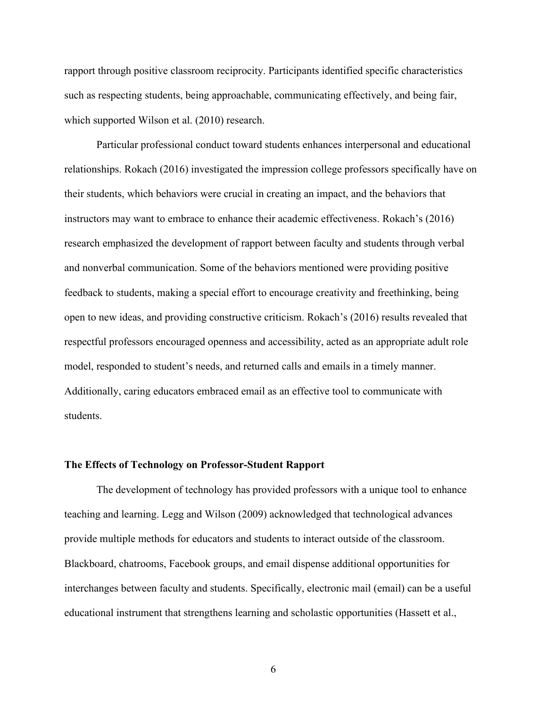rapport through positive classroom reciprocity. Participants identified specific characteristics such as respecting students, being approachable, communicating effectively, and being fair, which supported Wilson et al. (2010) research.

Particular professional conduct toward students enhances interpersonal and educational relationships. Rokach (2016) investigated the impression college professors specifically have on their students, which behaviors were crucial in creating an impact, and the behaviors that instructors may want to embrace to enhance their academic effectiveness. Rokach's (2016) research emphasized the development of rapport between faculty and students through verbal and nonverbal communication. Some of the behaviors mentioned were providing positive feedback to students, making a special effort to encourage creativity and freethinking, being open to new ideas, and providing constructive criticism. Rokach's (2016) results revealed that respectful professors encouraged openness and accessibility, acted as an appropriate adult role model, responded to student's needs, and returned calls and emails in a timely manner. Additionally, caring educators embraced email as an effective tool to communicate with students.

#### **The Effects of Technology on Professor-Student Rapport**

The development of technology has provided professors with a unique tool to enhance teaching and learning. Legg and Wilson (2009) acknowledged that technological advances provide multiple methods for educators and students to interact outside of the classroom. Blackboard, chatrooms, Facebook groups, and email dispense additional opportunities for interchanges between faculty and students. Specifically, electronic mail (email) can be a useful educational instrument that strengthens learning and scholastic opportunities (Hassett et al.,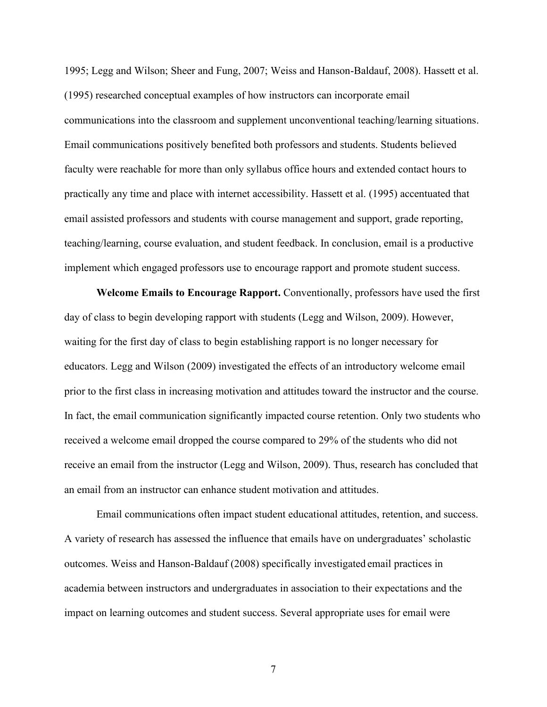1995; Legg and Wilson; Sheer and Fung, 2007; Weiss and Hanson-Baldauf, 2008). Hassett et al. (1995) researched conceptual examples of how instructors can incorporate email communications into the classroom and supplement unconventional teaching/learning situations. Email communications positively benefited both professors and students. Students believed faculty were reachable for more than only syllabus office hours and extended contact hours to practically any time and place with internet accessibility. Hassett et al. (1995) accentuated that email assisted professors and students with course management and support, grade reporting, teaching/learning, course evaluation, and student feedback. In conclusion, email is a productive implement which engaged professors use to encourage rapport and promote student success.

**Welcome Emails to Encourage Rapport.** Conventionally, professors have used the first day of class to begin developing rapport with students (Legg and Wilson, 2009). However, waiting for the first day of class to begin establishing rapport is no longer necessary for educators. Legg and Wilson (2009) investigated the effects of an introductory welcome email prior to the first class in increasing motivation and attitudes toward the instructor and the course. In fact, the email communication significantly impacted course retention. Only two students who received a welcome email dropped the course compared to 29% of the students who did not receive an email from the instructor (Legg and Wilson, 2009). Thus, research has concluded that an email from an instructor can enhance student motivation and attitudes.

Email communications often impact student educational attitudes, retention, and success. A variety of research has assessed the influence that emails have on undergraduates' scholastic outcomes. Weiss and Hanson-Baldauf (2008) specifically investigated email practices in academia between instructors and undergraduates in association to their expectations and the impact on learning outcomes and student success. Several appropriate uses for email were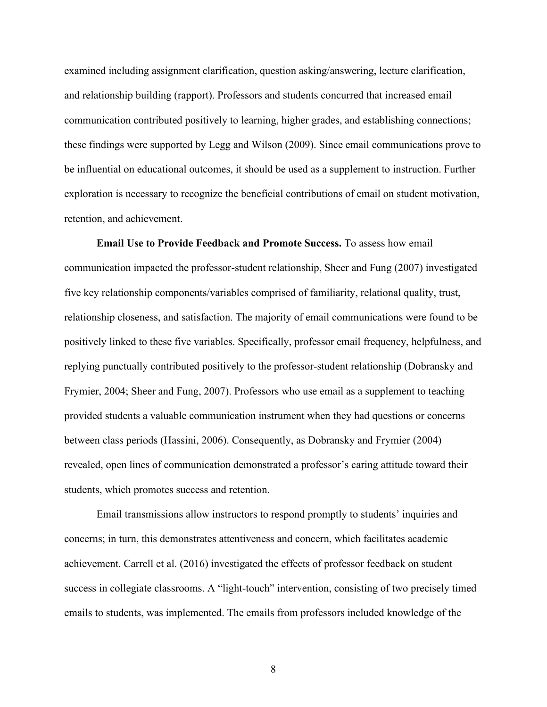examined including assignment clarification, question asking/answering, lecture clarification, and relationship building (rapport). Professors and students concurred that increased email communication contributed positively to learning, higher grades, and establishing connections; these findings were supported by Legg and Wilson (2009). Since email communications prove to be influential on educational outcomes, it should be used as a supplement to instruction. Further exploration is necessary to recognize the beneficial contributions of email on student motivation, retention, and achievement.

**Email Use to Provide Feedback and Promote Success.** To assess how email communication impacted the professor-student relationship, Sheer and Fung (2007) investigated five key relationship components/variables comprised of familiarity, relational quality, trust, relationship closeness, and satisfaction. The majority of email communications were found to be positively linked to these five variables. Specifically, professor email frequency, helpfulness, and replying punctually contributed positively to the professor-student relationship (Dobransky and Frymier, 2004; Sheer and Fung, 2007). Professors who use email as a supplement to teaching provided students a valuable communication instrument when they had questions or concerns between class periods (Hassini, 2006). Consequently, as Dobransky and Frymier (2004) revealed, open lines of communication demonstrated a professor's caring attitude toward their students, which promotes success and retention.

Email transmissions allow instructors to respond promptly to students' inquiries and concerns; in turn, this demonstrates attentiveness and concern, which facilitates academic achievement. Carrell et al. (2016) investigated the effects of professor feedback on student success in collegiate classrooms. A "light-touch" intervention, consisting of two precisely timed emails to students, was implemented. The emails from professors included knowledge of the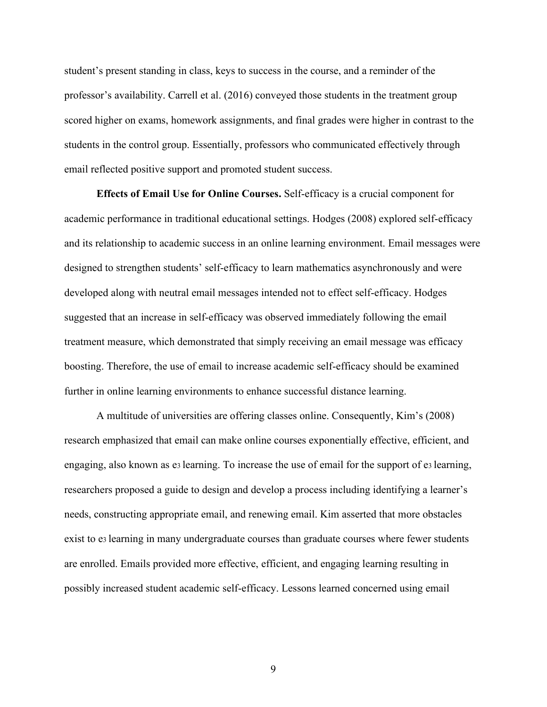student's present standing in class, keys to success in the course, and a reminder of the professor's availability. Carrell et al. (2016) conveyed those students in the treatment group scored higher on exams, homework assignments, and final grades were higher in contrast to the students in the control group. Essentially, professors who communicated effectively through email reflected positive support and promoted student success.

**Effects of Email Use for Online Courses.** Self-efficacy is a crucial component for academic performance in traditional educational settings. Hodges (2008) explored self-efficacy and its relationship to academic success in an online learning environment. Email messages were designed to strengthen students' self-efficacy to learn mathematics asynchronously and were developed along with neutral email messages intended not to effect self-efficacy. Hodges suggested that an increase in self-efficacy was observed immediately following the email treatment measure, which demonstrated that simply receiving an email message was efficacy boosting. Therefore, the use of email to increase academic self-efficacy should be examined further in online learning environments to enhance successful distance learning.

A multitude of universities are offering classes online. Consequently, Kim's (2008) research emphasized that email can make online courses exponentially effective, efficient, and engaging, also known as e3 learning. To increase the use of email for the support of e3 learning, researchers proposed a guide to design and develop a process including identifying a learner's needs, constructing appropriate email, and renewing email. Kim asserted that more obstacles exist to e3 learning in many undergraduate courses than graduate courses where fewer students are enrolled. Emails provided more effective, efficient, and engaging learning resulting in possibly increased student academic self-efficacy. Lessons learned concerned using email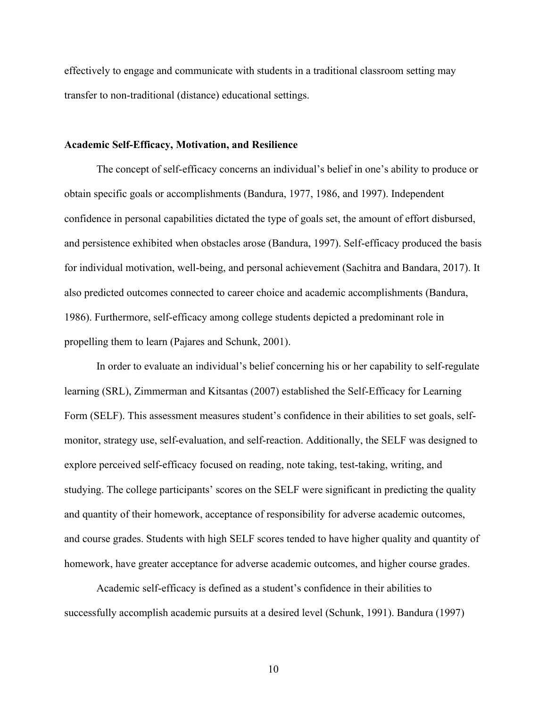effectively to engage and communicate with students in a traditional classroom setting may transfer to non-traditional (distance) educational settings.

#### **Academic Self-Efficacy, Motivation, and Resilience**

The concept of self-efficacy concerns an individual's belief in one's ability to produce or obtain specific goals or accomplishments (Bandura, 1977, 1986, and 1997). Independent confidence in personal capabilities dictated the type of goals set, the amount of effort disbursed, and persistence exhibited when obstacles arose (Bandura, 1997). Self-efficacy produced the basis for individual motivation, well-being, and personal achievement (Sachitra and Bandara, 2017). It also predicted outcomes connected to career choice and academic accomplishments (Bandura, 1986). Furthermore, self-efficacy among college students depicted a predominant role in propelling them to learn (Pajares and Schunk, 2001).

In order to evaluate an individual's belief concerning his or her capability to self-regulate learning (SRL), Zimmerman and Kitsantas (2007) established the Self-Efficacy for Learning Form (SELF). This assessment measures student's confidence in their abilities to set goals, selfmonitor, strategy use, self-evaluation, and self-reaction. Additionally, the SELF was designed to explore perceived self-efficacy focused on reading, note taking, test-taking, writing, and studying. The college participants' scores on the SELF were significant in predicting the quality and quantity of their homework, acceptance of responsibility for adverse academic outcomes, and course grades. Students with high SELF scores tended to have higher quality and quantity of homework, have greater acceptance for adverse academic outcomes, and higher course grades.

Academic self-efficacy is defined as a student's confidence in their abilities to successfully accomplish academic pursuits at a desired level (Schunk, 1991). Bandura (1997)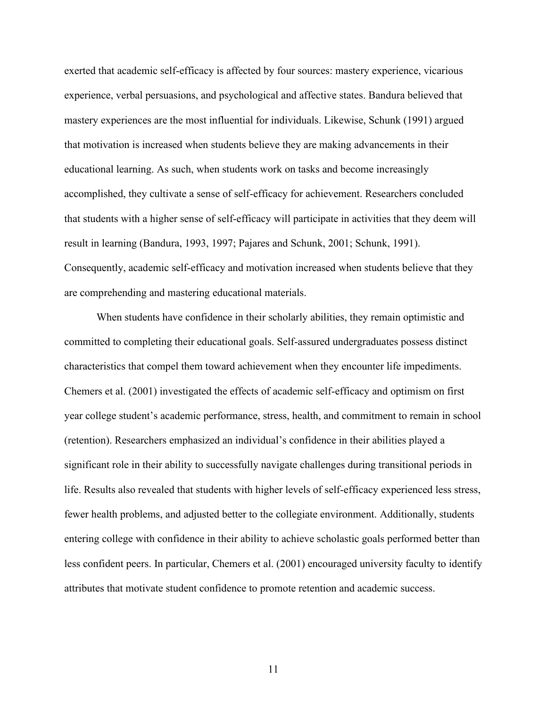exerted that academic self-efficacy is affected by four sources: mastery experience, vicarious experience, verbal persuasions, and psychological and affective states. Bandura believed that mastery experiences are the most influential for individuals. Likewise, Schunk (1991) argued that motivation is increased when students believe they are making advancements in their educational learning. As such, when students work on tasks and become increasingly accomplished, they cultivate a sense of self-efficacy for achievement. Researchers concluded that students with a higher sense of self-efficacy will participate in activities that they deem will result in learning (Bandura, 1993, 1997; Pajares and Schunk, 2001; Schunk, 1991). Consequently, academic self-efficacy and motivation increased when students believe that they are comprehending and mastering educational materials.

When students have confidence in their scholarly abilities, they remain optimistic and committed to completing their educational goals. Self-assured undergraduates possess distinct characteristics that compel them toward achievement when they encounter life impediments. Chemers et al. (2001) investigated the effects of academic self-efficacy and optimism on first year college student's academic performance, stress, health, and commitment to remain in school (retention). Researchers emphasized an individual's confidence in their abilities played a significant role in their ability to successfully navigate challenges during transitional periods in life. Results also revealed that students with higher levels of self-efficacy experienced less stress, fewer health problems, and adjusted better to the collegiate environment. Additionally, students entering college with confidence in their ability to achieve scholastic goals performed better than less confident peers. In particular, Chemers et al. (2001) encouraged university faculty to identify attributes that motivate student confidence to promote retention and academic success.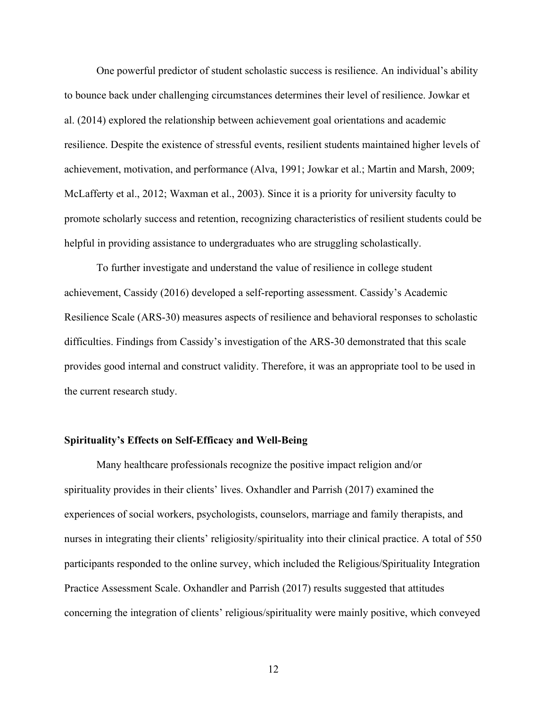One powerful predictor of student scholastic success is resilience. An individual's ability to bounce back under challenging circumstances determines their level of resilience. Jowkar et al. (2014) explored the relationship between achievement goal orientations and academic resilience. Despite the existence of stressful events, resilient students maintained higher levels of achievement, motivation, and performance (Alva, 1991; Jowkar et al.; Martin and Marsh, 2009; McLafferty et al., 2012; Waxman et al., 2003). Since it is a priority for university faculty to promote scholarly success and retention, recognizing characteristics of resilient students could be helpful in providing assistance to undergraduates who are struggling scholastically.

To further investigate and understand the value of resilience in college student achievement, Cassidy (2016) developed a self-reporting assessment. Cassidy's Academic Resilience Scale (ARS-30) measures aspects of resilience and behavioral responses to scholastic difficulties. Findings from Cassidy's investigation of the ARS-30 demonstrated that this scale provides good internal and construct validity. Therefore, it was an appropriate tool to be used in the current research study.

#### **Spirituality's Effects on Self-Efficacy and Well-Being**

Many healthcare professionals recognize the positive impact religion and/or spirituality provides in their clients' lives. Oxhandler and Parrish (2017) examined the experiences of social workers, psychologists, counselors, marriage and family therapists, and nurses in integrating their clients' religiosity/spirituality into their clinical practice. A total of 550 participants responded to the online survey, which included the Religious/Spirituality Integration Practice Assessment Scale. Oxhandler and Parrish (2017) results suggested that attitudes concerning the integration of clients' religious/spirituality were mainly positive, which conveyed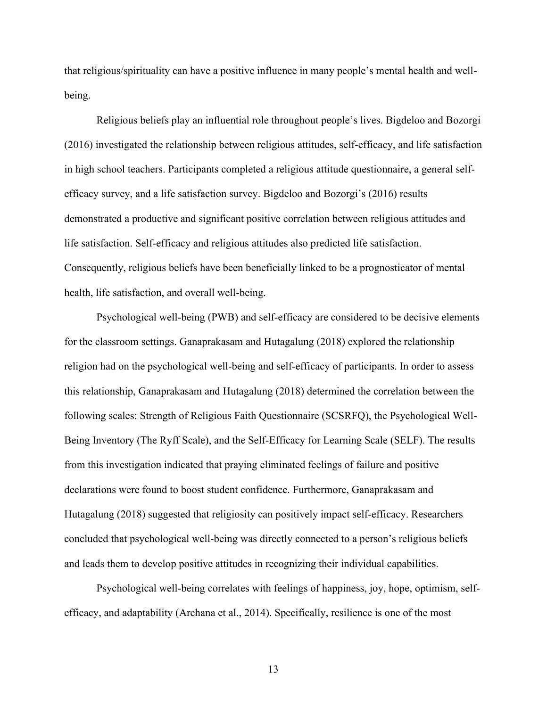that religious/spirituality can have a positive influence in many people's mental health and wellbeing.

Religious beliefs play an influential role throughout people's lives. Bigdeloo and Bozorgi (2016) investigated the relationship between religious attitudes, self-efficacy, and life satisfaction in high school teachers. Participants completed a religious attitude questionnaire, a general selfefficacy survey, and a life satisfaction survey. Bigdeloo and Bozorgi's (2016) results demonstrated a productive and significant positive correlation between religious attitudes and life satisfaction. Self-efficacy and religious attitudes also predicted life satisfaction. Consequently, religious beliefs have been beneficially linked to be a prognosticator of mental health, life satisfaction, and overall well-being.

Psychological well-being (PWB) and self-efficacy are considered to be decisive elements for the classroom settings. Ganaprakasam and Hutagalung (2018) explored the relationship religion had on the psychological well-being and self-efficacy of participants. In order to assess this relationship, Ganaprakasam and Hutagalung (2018) determined the correlation between the following scales: Strength of Religious Faith Questionnaire (SCSRFQ), the Psychological Well-Being Inventory (The Ryff Scale), and the Self-Efficacy for Learning Scale (SELF). The results from this investigation indicated that praying eliminated feelings of failure and positive declarations were found to boost student confidence. Furthermore, Ganaprakasam and Hutagalung (2018) suggested that religiosity can positively impact self-efficacy. Researchers concluded that psychological well-being was directly connected to a person's religious beliefs and leads them to develop positive attitudes in recognizing their individual capabilities.

Psychological well-being correlates with feelings of happiness, joy, hope, optimism, selfefficacy, and adaptability (Archana et al., 2014). Specifically, resilience is one of the most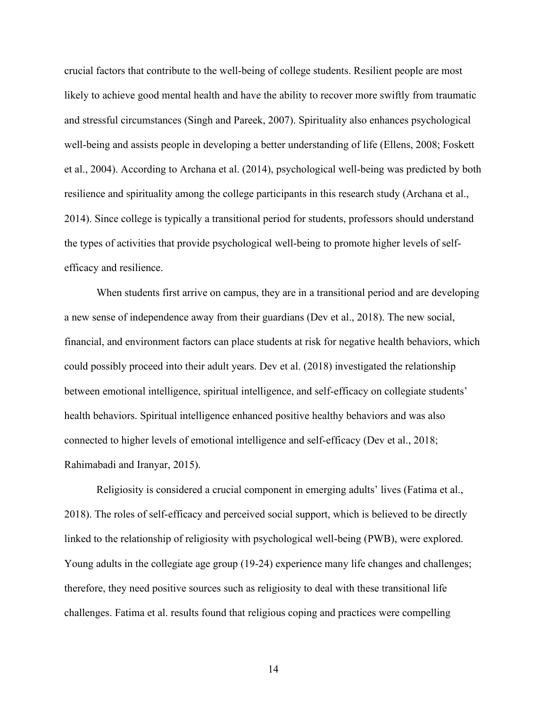crucial factors that contribute to the well-being of college students. Resilient people are most likely to achieve good mental health and have the ability to recover more swiftly from traumatic and stressful circumstances (Singh and Pareek, 2007). Spirituality also enhances psychological well-being and assists people in developing a better understanding of life (Ellens, 2008; Foskett et al., 2004). According to Archana et al. (2014), psychological well-being was predicted by both resilience and spirituality among the college participants in this research study (Archana et al., 2014). Since college is typically a transitional period for students, professors should understand the types of activities that provide psychological well-being to promote higher levels of selfefficacy and resilience.

When students first arrive on campus, they are in a transitional period and are developing a new sense of independence away from their guardians (Dev et al., 2018). The new social, financial, and environment factors can place students at risk for negative health behaviors, which could possibly proceed into their adult years. Dev et al. (2018) investigated the relationship between emotional intelligence, spiritual intelligence, and self-efficacy on collegiate students' health behaviors. Spiritual intelligence enhanced positive healthy behaviors and was also connected to higher levels of emotional intelligence and self-efficacy (Dev et al., 2018; Rahimabadi and Iranyar, 2015).

Religiosity is considered a crucial component in emerging adults' lives (Fatima et al., 2018). The roles of self-efficacy and perceived social support, which is believed to be directly linked to the relationship of religiosity with psychological well-being (PWB), were explored. Young adults in the collegiate age group (19-24) experience many life changes and challenges; therefore, they need positive sources such as religiosity to deal with these transitional life challenges. Fatima et al. results found that religious coping and practices were compelling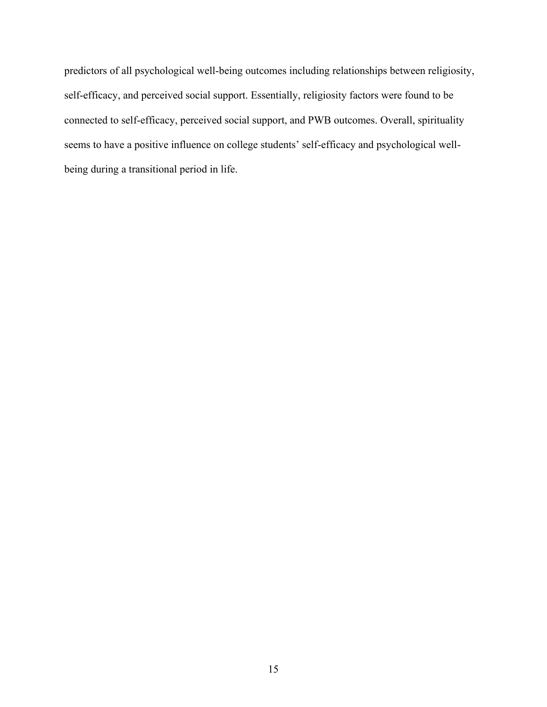predictors of all psychological well-being outcomes including relationships between religiosity, self-efficacy, and perceived social support. Essentially, religiosity factors were found to be connected to self-efficacy, perceived social support, and PWB outcomes. Overall, spirituality seems to have a positive influence on college students' self-efficacy and psychological wellbeing during a transitional period in life.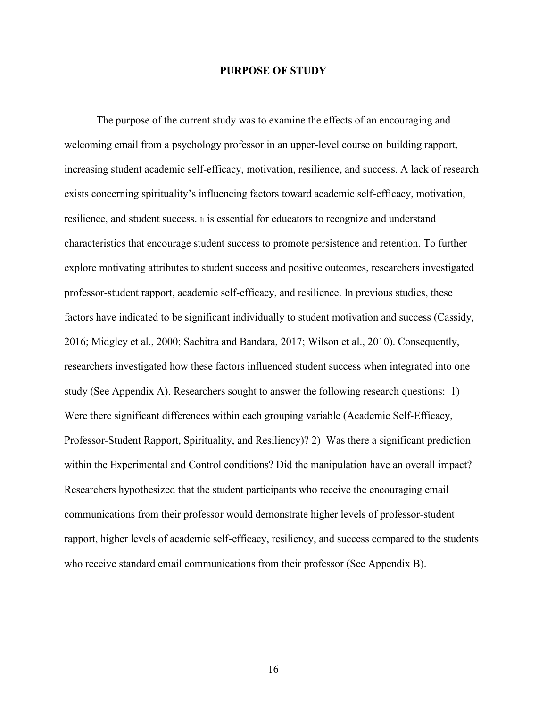#### **PURPOSE OF STUDY**

The purpose of the current study was to examine the effects of an encouraging and welcoming email from a psychology professor in an upper-level course on building rapport, increasing student academic self-efficacy, motivation, resilience, and success. A lack of research exists concerning spirituality's influencing factors toward academic self-efficacy, motivation, resilience, and student success. It is essential for educators to recognize and understand characteristics that encourage student success to promote persistence and retention. To further explore motivating attributes to student success and positive outcomes, researchers investigated professor-student rapport, academic self-efficacy, and resilience. In previous studies, these factors have indicated to be significant individually to student motivation and success (Cassidy, 2016; Midgley et al., 2000; Sachitra and Bandara, 2017; Wilson et al., 2010). Consequently, researchers investigated how these factors influenced student success when integrated into one study (See Appendix A). Researchers sought to answer the following research questions: 1) Were there significant differences within each grouping variable (Academic Self-Efficacy, Professor-Student Rapport, Spirituality, and Resiliency)? 2) Was there a significant prediction within the Experimental and Control conditions? Did the manipulation have an overall impact? Researchers hypothesized that the student participants who receive the encouraging email communications from their professor would demonstrate higher levels of professor-student rapport, higher levels of academic self-efficacy, resiliency, and success compared to the students who receive standard email communications from their professor (See Appendix B).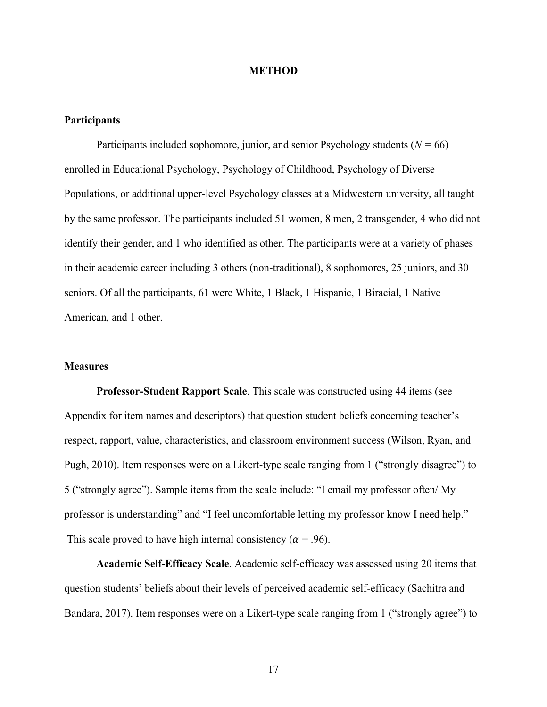#### **METHOD**

#### **Participants**

Participants included sophomore, junior, and senior Psychology students  $(N = 66)$ enrolled in Educational Psychology, Psychology of Childhood, Psychology of Diverse Populations, or additional upper-level Psychology classes at a Midwestern university, all taught by the same professor. The participants included 51 women, 8 men, 2 transgender, 4 who did not identify their gender, and 1 who identified as other. The participants were at a variety of phases in their academic career including 3 others (non-traditional), 8 sophomores, 25 juniors, and 30 seniors. Of all the participants, 61 were White, 1 Black, 1 Hispanic, 1 Biracial, 1 Native American, and 1 other.

#### **Measures**

**Professor-Student Rapport Scale**. This scale was constructed using 44 items (see Appendix for item names and descriptors) that question student beliefs concerning teacher's respect, rapport, value, characteristics, and classroom environment success (Wilson, Ryan, and Pugh, 2010). Item responses were on a Likert-type scale ranging from 1 ("strongly disagree") to 5 ("strongly agree"). Sample items from the scale include: "I email my professor often/ My professor is understanding" and "I feel uncomfortable letting my professor know I need help." This scale proved to have high internal consistency ( $\alpha$  = .96).

**Academic Self-Efficacy Scale**. Academic self-efficacy was assessed using 20 items that question students' beliefs about their levels of perceived academic self-efficacy (Sachitra and Bandara, 2017). Item responses were on a Likert-type scale ranging from 1 ("strongly agree") to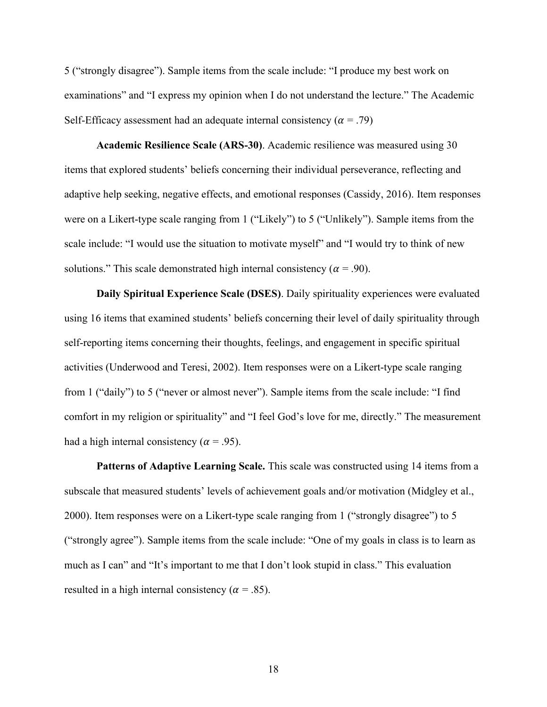5 ("strongly disagree"). Sample items from the scale include: "I produce my best work on examinations" and "I express my opinion when I do not understand the lecture." The Academic Self-Efficacy assessment had an adequate internal consistency ( $\alpha = .79$ )

**Academic Resilience Scale (ARS-30)**. Academic resilience was measured using 30 items that explored students' beliefs concerning their individual perseverance, reflecting and adaptive help seeking, negative effects, and emotional responses (Cassidy, 2016). Item responses were on a Likert-type scale ranging from 1 ("Likely") to 5 ("Unlikely"). Sample items from the scale include: "I would use the situation to motivate myself" and "I would try to think of new solutions." This scale demonstrated high internal consistency ( $\alpha$  = .90).

**Daily Spiritual Experience Scale (DSES)**. Daily spirituality experiences were evaluated using 16 items that examined students' beliefs concerning their level of daily spirituality through self-reporting items concerning their thoughts, feelings, and engagement in specific spiritual activities (Underwood and Teresi, 2002). Item responses were on a Likert-type scale ranging from 1 ("daily") to 5 ("never or almost never"). Sample items from the scale include: "I find comfort in my religion or spirituality" and "I feel God's love for me, directly." The measurement had a high internal consistency ( $\alpha$  = .95).

Patterns of Adaptive Learning Scale. This scale was constructed using 14 items from a subscale that measured students' levels of achievement goals and/or motivation (Midgley et al., 2000). Item responses were on a Likert-type scale ranging from 1 ("strongly disagree") to 5 ("strongly agree"). Sample items from the scale include: "One of my goals in class is to learn as much as I can" and "It's important to me that I don't look stupid in class." This evaluation resulted in a high internal consistency ( $\alpha$  = .85).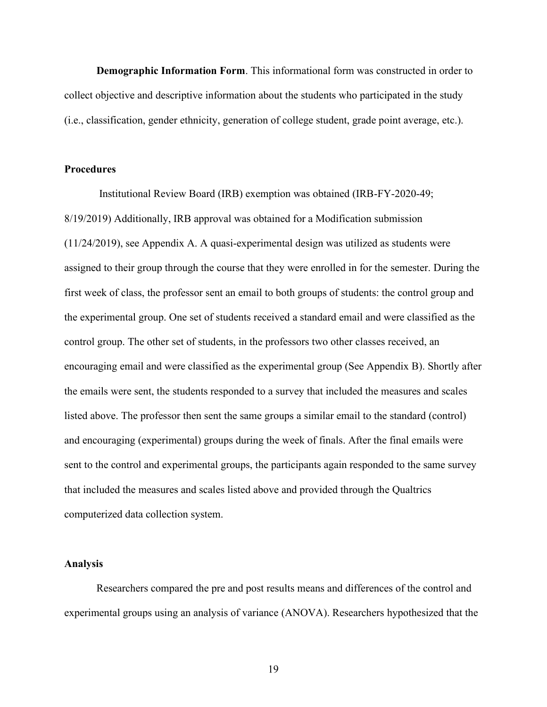**Demographic Information Form**. This informational form was constructed in order to collect objective and descriptive information about the students who participated in the study (i.e., classification, gender ethnicity, generation of college student, grade point average, etc.).

#### **Procedures**

Institutional Review Board (IRB) exemption was obtained (IRB-FY-2020-49; 8/19/2019) Additionally, IRB approval was obtained for a Modification submission (11/24/2019), see Appendix A. A quasi-experimental design was utilized as students were assigned to their group through the course that they were enrolled in for the semester. During the first week of class, the professor sent an email to both groups of students: the control group and the experimental group. One set of students received a standard email and were classified as the control group. The other set of students, in the professors two other classes received, an encouraging email and were classified as the experimental group (See Appendix B). Shortly after the emails were sent, the students responded to a survey that included the measures and scales listed above. The professor then sent the same groups a similar email to the standard (control) and encouraging (experimental) groups during the week of finals. After the final emails were sent to the control and experimental groups, the participants again responded to the same survey that included the measures and scales listed above and provided through the Qualtrics computerized data collection system.

#### **Analysis**

Researchers compared the pre and post results means and differences of the control and experimental groups using an analysis of variance (ANOVA). Researchers hypothesized that the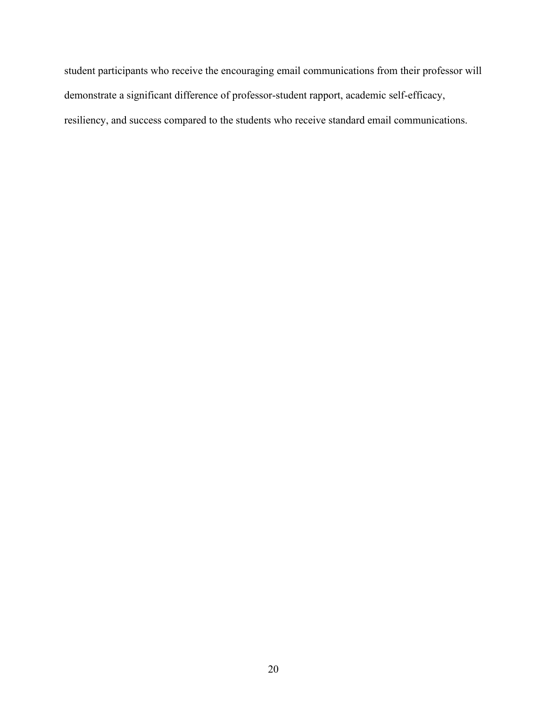student participants who receive the encouraging email communications from their professor will demonstrate a significant difference of professor-student rapport, academic self-efficacy, resiliency, and success compared to the students who receive standard email communications.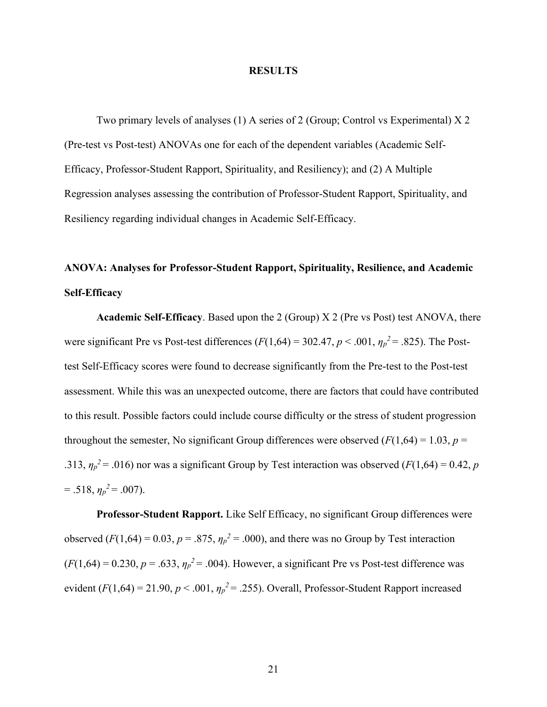#### **RESULTS**

Two primary levels of analyses (1) A series of 2 (Group; Control vs Experimental) X 2 (Pre-test vs Post-test) ANOVAs one for each of the dependent variables (Academic Self-Efficacy, Professor-Student Rapport, Spirituality, and Resiliency); and (2) A Multiple Regression analyses assessing the contribution of Professor-Student Rapport, Spirituality, and Resiliency regarding individual changes in Academic Self-Efficacy.

# **ANOVA: Analyses for Professor-Student Rapport, Spirituality, Resilience, and Academic Self-Efficacy**

**Academic Self-Efficacy**. Based upon the 2 (Group) X 2 (Pre vs Post) test ANOVA, there were significant Pre vs Post-test differences  $(F(1,64) = 302.47, p < .001, \eta_p^2 = .825)$ . The Posttest Self-Efficacy scores were found to decrease significantly from the Pre-test to the Post-test assessment. While this was an unexpected outcome, there are factors that could have contributed to this result. Possible factors could include course difficulty or the stress of student progression throughout the semester, No significant Group differences were observed  $(F(1,64) = 1.03, p =$ .313,  $\eta_p^2$  = .016) nor was a significant Group by Test interaction was observed ( $F(1,64)$  = 0.42, *p*  $= .518, \eta_p^2 = .007$ .

**Professor-Student Rapport.** Like Self Efficacy, no significant Group differences were observed ( $F(1,64) = 0.03$ ,  $p = .875$ ,  $\eta_p^2 = .000$ ), and there was no Group by Test interaction  $(F(1,64) = 0.230, p = .633, \eta_p^2 = .004)$ . However, a significant Pre vs Post-test difference was evident ( $F(1,64) = 21.90$ ,  $p < .001$ ,  $\eta_p^2 = .255$ ). Overall, Professor-Student Rapport increased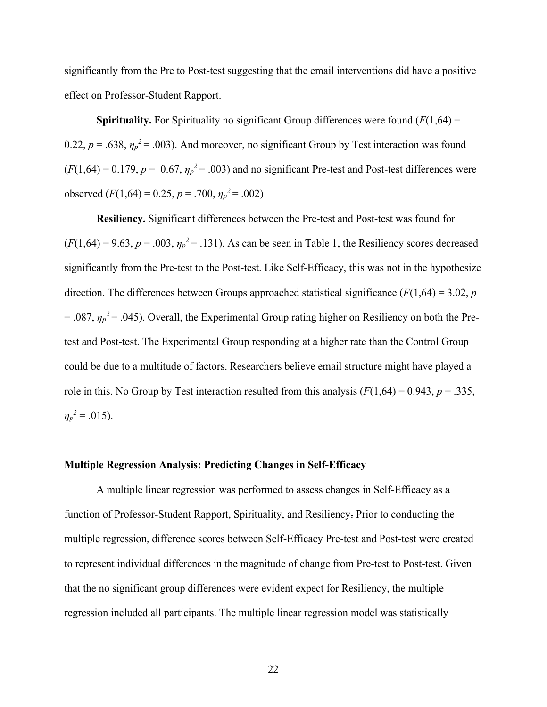significantly from the Pre to Post-test suggesting that the email interventions did have a positive effect on Professor-Student Rapport.

**Spirituality.** For Spirituality no significant Group differences were found  $(F(1,64) =$ 0.22,  $p = .638$ ,  $\eta_p^2 = .003$ ). And moreover, no significant Group by Test interaction was found  $(F(1,64) = 0.179, p = 0.67, \eta_p^2 = .003)$  and no significant Pre-test and Post-test differences were observed  $(F(1,64) = 0.25, p = .700, \eta_p^2 = .002)$ 

**Resiliency.** Significant differences between the Pre-test and Post-test was found for  $(F(1,64) = 9.63, p = .003, \eta_p^2 = .131)$ . As can be seen in Table 1, the Resiliency scores decreased significantly from the Pre-test to the Post-test. Like Self-Efficacy, this was not in the hypothesize direction. The differences between Groups approached statistical significance (*F*(1,64) = 3.02, *p*  $= .087, \eta_p^2 = .045$ ). Overall, the Experimental Group rating higher on Resiliency on both the Pretest and Post-test. The Experimental Group responding at a higher rate than the Control Group could be due to a multitude of factors. Researchers believe email structure might have played a role in this. No Group by Test interaction resulted from this analysis  $(F(1,64) = 0.943, p = .335,$  $\eta_p^2 = .015$ .

#### **Multiple Regression Analysis: Predicting Changes in Self-Efficacy**

A multiple linear regression was performed to assess changes in Self-Efficacy as a function of Professor-Student Rapport, Spirituality, and Resiliency. Prior to conducting the multiple regression, difference scores between Self-Efficacy Pre-test and Post-test were created to represent individual differences in the magnitude of change from Pre-test to Post-test. Given that the no significant group differences were evident expect for Resiliency, the multiple regression included all participants. The multiple linear regression model was statistically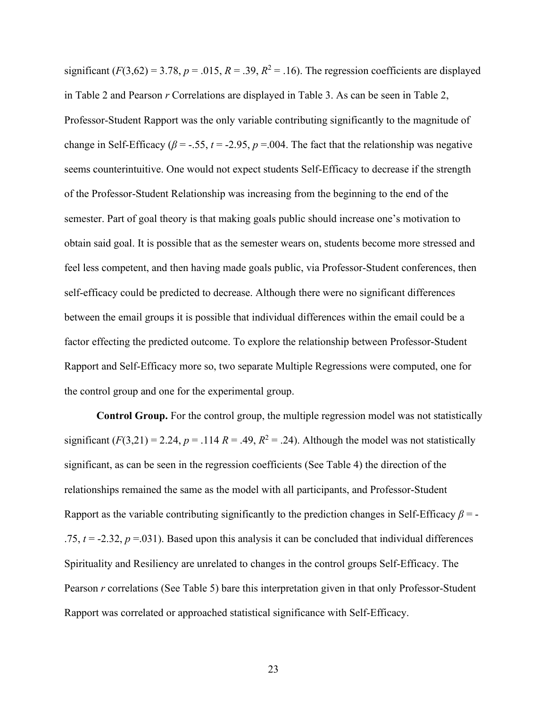significant  $(F(3,62) = 3.78, p = .015, R = .39, R^2 = .16)$ . The regression coefficients are displayed in Table 2 and Pearson *r* Correlations are displayed in Table 3. As can be seen in Table 2, Professor-Student Rapport was the only variable contributing significantly to the magnitude of change in Self-Efficacy ( $\beta$  = -.55,  $t$  = -2.95,  $p$  = 0.04. The fact that the relationship was negative seems counterintuitive. One would not expect students Self-Efficacy to decrease if the strength of the Professor-Student Relationship was increasing from the beginning to the end of the semester. Part of goal theory is that making goals public should increase one's motivation to obtain said goal. It is possible that as the semester wears on, students become more stressed and feel less competent, and then having made goals public, via Professor-Student conferences, then self-efficacy could be predicted to decrease. Although there were no significant differences between the email groups it is possible that individual differences within the email could be a factor effecting the predicted outcome. To explore the relationship between Professor-Student Rapport and Self-Efficacy more so, two separate Multiple Regressions were computed, one for the control group and one for the experimental group.

**Control Group.** For the control group, the multiple regression model was not statistically significant  $(F(3,21) = 2.24, p = .114 R = .49, R<sup>2</sup> = .24)$ . Although the model was not statistically significant, as can be seen in the regression coefficients (See Table 4) the direction of the relationships remained the same as the model with all participants, and Professor-Student Rapport as the variable contributing significantly to the prediction changes in Self-Efficacy *β* = - .75,  $t = -2.32$ ,  $p = .031$ ). Based upon this analysis it can be concluded that individual differences Spirituality and Resiliency are unrelated to changes in the control groups Self-Efficacy. The Pearson *r* correlations (See Table 5) bare this interpretation given in that only Professor-Student Rapport was correlated or approached statistical significance with Self-Efficacy.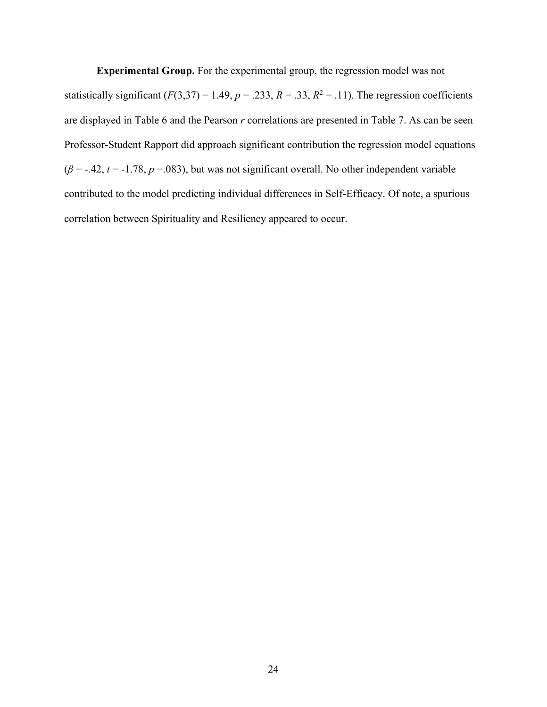**Experimental Group.** For the experimental group, the regression model was not statistically significant  $(F(3,37) = 1.49, p = .233, R = .33, R^2 = .11)$ . The regression coefficients are displayed in Table 6 and the Pearson *r* correlations are presented in Table 7. As can be seen Professor-Student Rapport did approach significant contribution the regression model equations  $(\beta = -.42, t = -1.78, p = .083)$ , but was not significant overall. No other independent variable contributed to the model predicting individual differences in Self-Efficacy. Of note, a spurious correlation between Spirituality and Resiliency appeared to occur.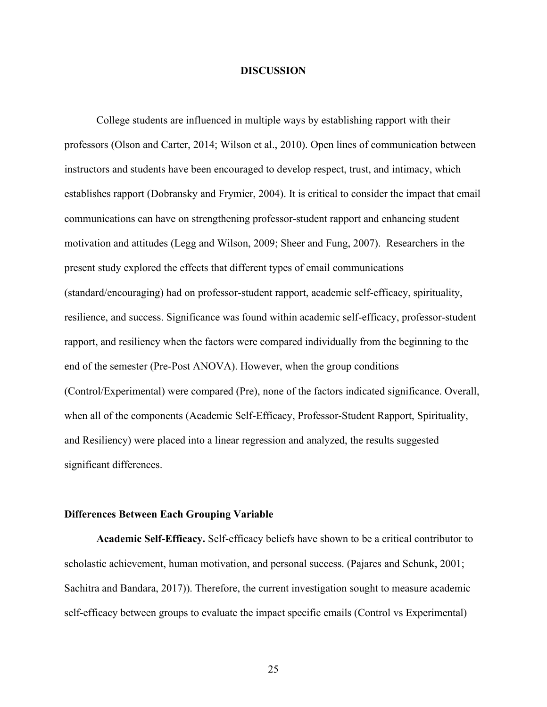#### **DISCUSSION**

College students are influenced in multiple ways by establishing rapport with their professors (Olson and Carter, 2014; Wilson et al., 2010). Open lines of communication between instructors and students have been encouraged to develop respect, trust, and intimacy, which establishes rapport (Dobransky and Frymier, 2004). It is critical to consider the impact that email communications can have on strengthening professor-student rapport and enhancing student motivation and attitudes (Legg and Wilson, 2009; Sheer and Fung, 2007). Researchers in the present study explored the effects that different types of email communications (standard/encouraging) had on professor-student rapport, academic self-efficacy, spirituality, resilience, and success. Significance was found within academic self-efficacy, professor-student rapport, and resiliency when the factors were compared individually from the beginning to the end of the semester (Pre-Post ANOVA). However, when the group conditions (Control/Experimental) were compared (Pre), none of the factors indicated significance. Overall, when all of the components (Academic Self-Efficacy, Professor-Student Rapport, Spirituality, and Resiliency) were placed into a linear regression and analyzed, the results suggested significant differences.

#### **Differences Between Each Grouping Variable**

**Academic Self-Efficacy.** Self-efficacy beliefs have shown to be a critical contributor to scholastic achievement, human motivation, and personal success. (Pajares and Schunk, 2001; Sachitra and Bandara, 2017)). Therefore, the current investigation sought to measure academic self-efficacy between groups to evaluate the impact specific emails (Control vs Experimental)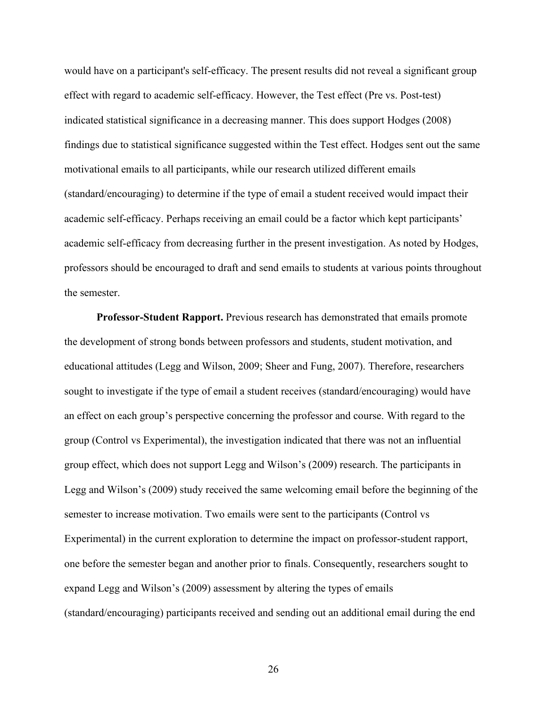would have on a participant's self-efficacy. The present results did not reveal a significant group effect with regard to academic self-efficacy. However, the Test effect (Pre vs. Post-test) indicated statistical significance in a decreasing manner. This does support Hodges (2008) findings due to statistical significance suggested within the Test effect. Hodges sent out the same motivational emails to all participants, while our research utilized different emails (standard/encouraging) to determine if the type of email a student received would impact their academic self-efficacy. Perhaps receiving an email could be a factor which kept participants' academic self-efficacy from decreasing further in the present investigation. As noted by Hodges, professors should be encouraged to draft and send emails to students at various points throughout the semester.

**Professor-Student Rapport.** Previous research has demonstrated that emails promote the development of strong bonds between professors and students, student motivation, and educational attitudes (Legg and Wilson, 2009; Sheer and Fung, 2007). Therefore, researchers sought to investigate if the type of email a student receives (standard/encouraging) would have an effect on each group's perspective concerning the professor and course. With regard to the group (Control vs Experimental), the investigation indicated that there was not an influential group effect, which does not support Legg and Wilson's (2009) research. The participants in Legg and Wilson's (2009) study received the same welcoming email before the beginning of the semester to increase motivation. Two emails were sent to the participants (Control vs Experimental) in the current exploration to determine the impact on professor-student rapport, one before the semester began and another prior to finals. Consequently, researchers sought to expand Legg and Wilson's (2009) assessment by altering the types of emails (standard/encouraging) participants received and sending out an additional email during the end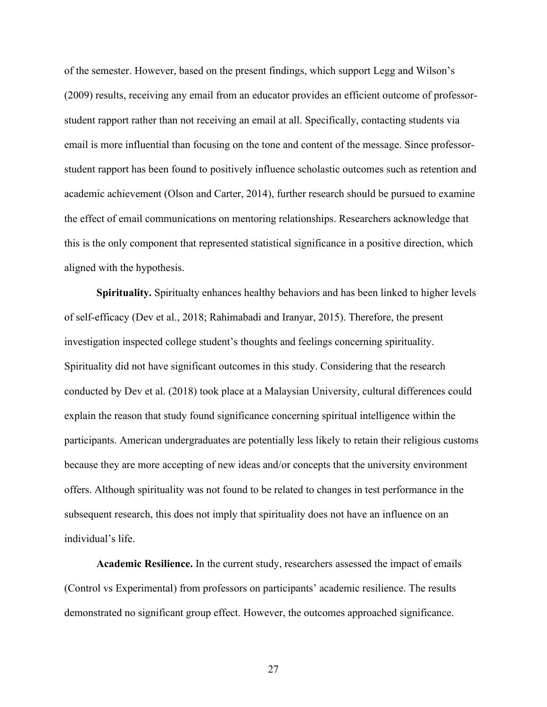of the semester. However, based on the present findings, which support Legg and Wilson's (2009) results, receiving any email from an educator provides an efficient outcome of professorstudent rapport rather than not receiving an email at all. Specifically, contacting students via email is more influential than focusing on the tone and content of the message. Since professorstudent rapport has been found to positively influence scholastic outcomes such as retention and academic achievement (Olson and Carter, 2014), further research should be pursued to examine the effect of email communications on mentoring relationships. Researchers acknowledge that this is the only component that represented statistical significance in a positive direction, which aligned with the hypothesis.

**Spirituality.** Spiritualty enhances healthy behaviors and has been linked to higher levels of self-efficacy (Dev et al., 2018; Rahimabadi and Iranyar, 2015). Therefore, the present investigation inspected college student's thoughts and feelings concerning spirituality. Spirituality did not have significant outcomes in this study. Considering that the research conducted by Dev et al. (2018) took place at a Malaysian University, cultural differences could explain the reason that study found significance concerning spiritual intelligence within the participants. American undergraduates are potentially less likely to retain their religious customs because they are more accepting of new ideas and/or concepts that the university environment offers. Although spirituality was not found to be related to changes in test performance in the subsequent research, this does not imply that spirituality does not have an influence on an individual's life.

**Academic Resilience.** In the current study, researchers assessed the impact of emails (Control vs Experimental) from professors on participants' academic resilience. The results demonstrated no significant group effect. However, the outcomes approached significance.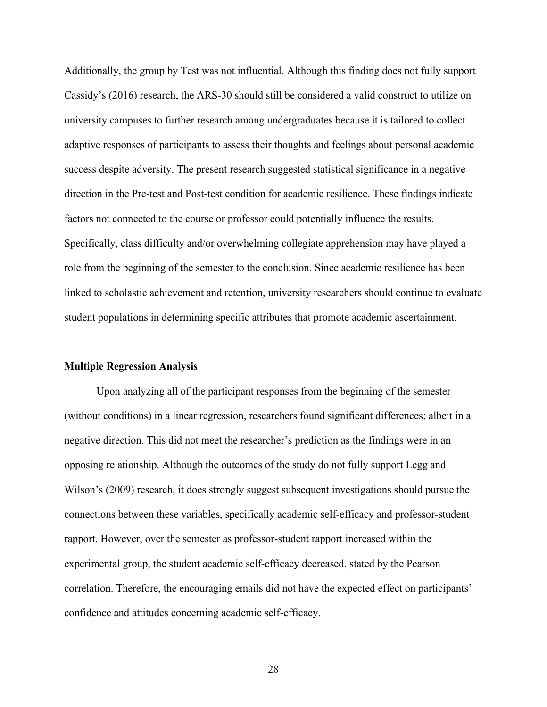Additionally, the group by Test was not influential. Although this finding does not fully support Cassidy's (2016) research, the ARS-30 should still be considered a valid construct to utilize on university campuses to further research among undergraduates because it is tailored to collect adaptive responses of participants to assess their thoughts and feelings about personal academic success despite adversity. The present research suggested statistical significance in a negative direction in the Pre-test and Post-test condition for academic resilience. These findings indicate factors not connected to the course or professor could potentially influence the results. Specifically, class difficulty and/or overwhelming collegiate apprehension may have played a role from the beginning of the semester to the conclusion. Since academic resilience has been linked to scholastic achievement and retention, university researchers should continue to evaluate student populations in determining specific attributes that promote academic ascertainment.

#### **Multiple Regression Analysis**

Upon analyzing all of the participant responses from the beginning of the semester (without conditions) in a linear regression, researchers found significant differences; albeit in a negative direction. This did not meet the researcher's prediction as the findings were in an opposing relationship. Although the outcomes of the study do not fully support Legg and Wilson's (2009) research, it does strongly suggest subsequent investigations should pursue the connections between these variables, specifically academic self-efficacy and professor-student rapport. However, over the semester as professor-student rapport increased within the experimental group, the student academic self-efficacy decreased, stated by the Pearson correlation. Therefore, the encouraging emails did not have the expected effect on participants' confidence and attitudes concerning academic self-efficacy.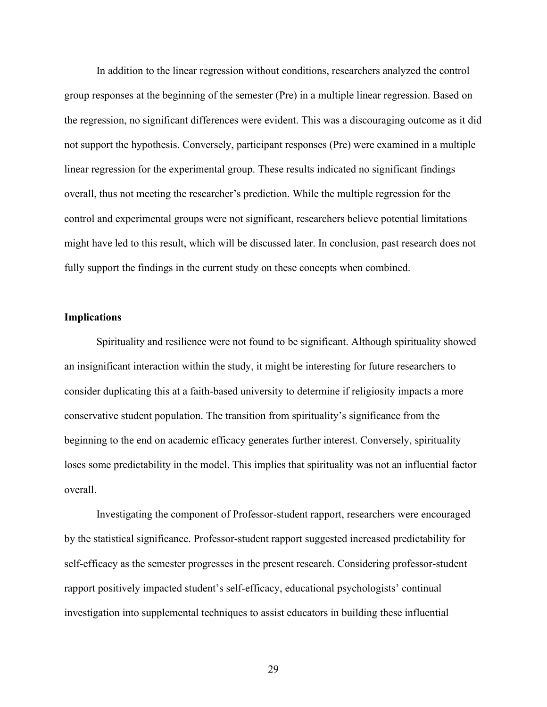In addition to the linear regression without conditions, researchers analyzed the control group responses at the beginning of the semester (Pre) in a multiple linear regression. Based on the regression, no significant differences were evident. This was a discouraging outcome as it did not support the hypothesis. Conversely, participant responses (Pre) were examined in a multiple linear regression for the experimental group. These results indicated no significant findings overall, thus not meeting the researcher's prediction. While the multiple regression for the control and experimental groups were not significant, researchers believe potential limitations might have led to this result, which will be discussed later. In conclusion, past research does not fully support the findings in the current study on these concepts when combined.

#### **Implications**

Spirituality and resilience were not found to be significant. Although spirituality showed an insignificant interaction within the study, it might be interesting for future researchers to consider duplicating this at a faith-based university to determine if religiosity impacts a more conservative student population. The transition from spirituality's significance from the beginning to the end on academic efficacy generates further interest. Conversely, spirituality loses some predictability in the model. This implies that spirituality was not an influential factor overall.

Investigating the component of Professor-student rapport, researchers were encouraged by the statistical significance. Professor-student rapport suggested increased predictability for self-efficacy as the semester progresses in the present research. Considering professor-student rapport positively impacted student's self-efficacy, educational psychologists' continual investigation into supplemental techniques to assist educators in building these influential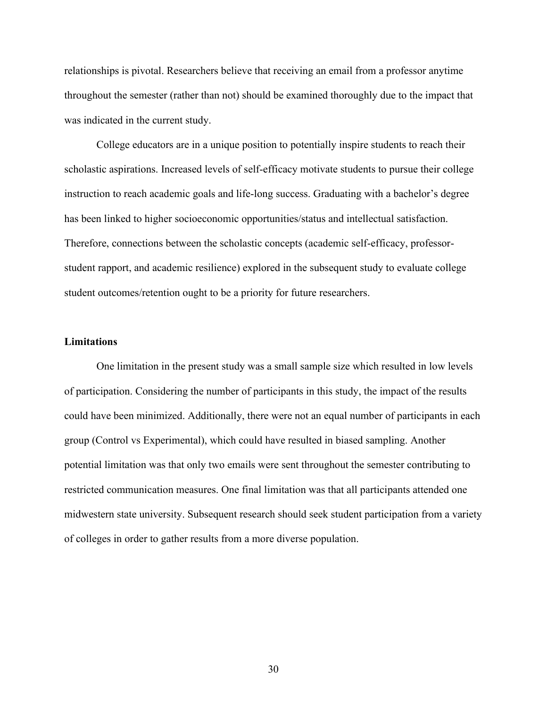relationships is pivotal. Researchers believe that receiving an email from a professor anytime throughout the semester (rather than not) should be examined thoroughly due to the impact that was indicated in the current study.

College educators are in a unique position to potentially inspire students to reach their scholastic aspirations. Increased levels of self-efficacy motivate students to pursue their college instruction to reach academic goals and life-long success. Graduating with a bachelor's degree has been linked to higher socioeconomic opportunities/status and intellectual satisfaction. Therefore, connections between the scholastic concepts (academic self-efficacy, professorstudent rapport, and academic resilience) explored in the subsequent study to evaluate college student outcomes/retention ought to be a priority for future researchers.

#### **Limitations**

One limitation in the present study was a small sample size which resulted in low levels of participation. Considering the number of participants in this study, the impact of the results could have been minimized. Additionally, there were not an equal number of participants in each group (Control vs Experimental), which could have resulted in biased sampling. Another potential limitation was that only two emails were sent throughout the semester contributing to restricted communication measures. One final limitation was that all participants attended one midwestern state university. Subsequent research should seek student participation from a variety of colleges in order to gather results from a more diverse population.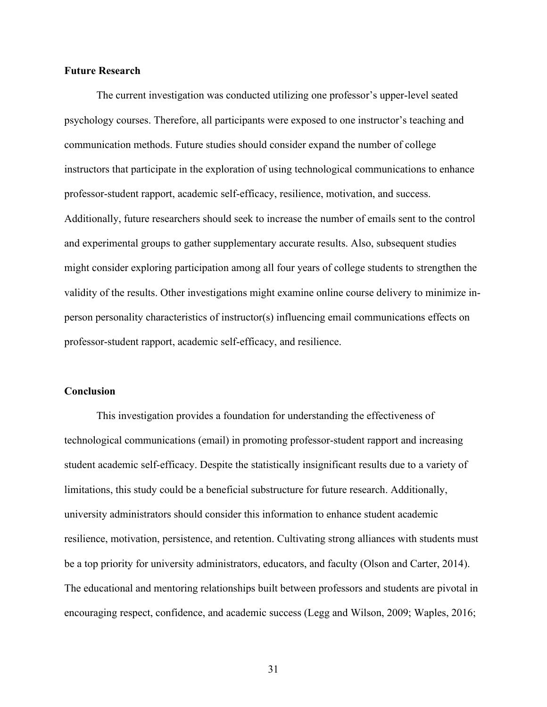#### **Future Research**

The current investigation was conducted utilizing one professor's upper-level seated psychology courses. Therefore, all participants were exposed to one instructor's teaching and communication methods. Future studies should consider expand the number of college instructors that participate in the exploration of using technological communications to enhance professor-student rapport, academic self-efficacy, resilience, motivation, and success. Additionally, future researchers should seek to increase the number of emails sent to the control and experimental groups to gather supplementary accurate results. Also, subsequent studies might consider exploring participation among all four years of college students to strengthen the validity of the results. Other investigations might examine online course delivery to minimize inperson personality characteristics of instructor(s) influencing email communications effects on professor-student rapport, academic self-efficacy, and resilience.

#### **Conclusion**

This investigation provides a foundation for understanding the effectiveness of technological communications (email) in promoting professor-student rapport and increasing student academic self-efficacy. Despite the statistically insignificant results due to a variety of limitations, this study could be a beneficial substructure for future research. Additionally, university administrators should consider this information to enhance student academic resilience, motivation, persistence, and retention. Cultivating strong alliances with students must be a top priority for university administrators, educators, and faculty (Olson and Carter, 2014). The educational and mentoring relationships built between professors and students are pivotal in encouraging respect, confidence, and academic success (Legg and Wilson, 2009; Waples, 2016;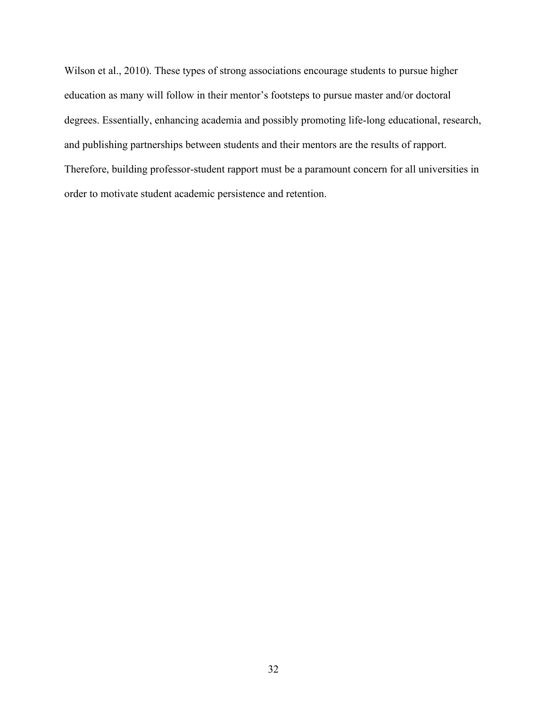Wilson et al., 2010). These types of strong associations encourage students to pursue higher education as many will follow in their mentor's footsteps to pursue master and/or doctoral degrees. Essentially, enhancing academia and possibly promoting life-long educational, research, and publishing partnerships between students and their mentors are the results of rapport. Therefore, building professor-student rapport must be a paramount concern for all universities in order to motivate student academic persistence and retention.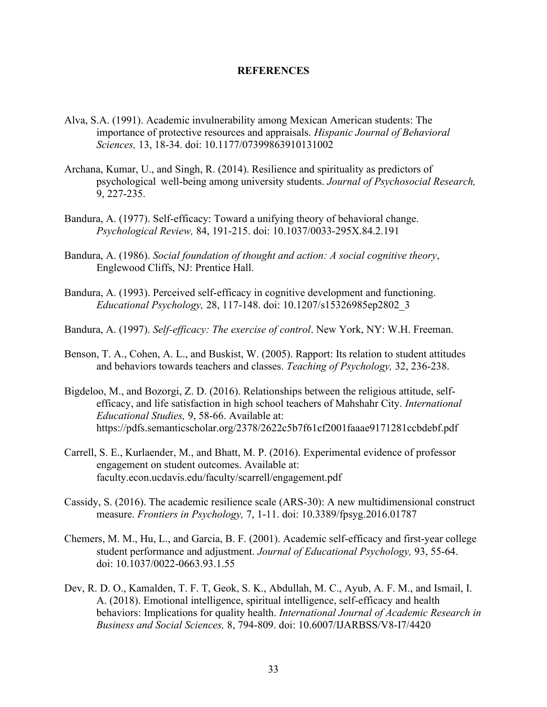#### **REFERENCES**

- Alva, S.A. (1991). Academic invulnerability among Mexican American students: The importance of protective resources and appraisals. *Hispanic Journal of Behavioral Sciences,* 13, 18-34. [doi: 10.1177/07399863910131002](https://doi.org/10.1177%2F07399863910131002)
- Archana, Kumar, U., and Singh, R. (2014). Resilience and spirituality as predictors of psychological well-being among university students. *Journal of Psychosocial Research,*  9, 227-235.
- Bandura, A. (1977). Self-efficacy: Toward a unifying theory of behavioral change. *Psychological Review,* 84, 191-215. doi: [10.1037/0033-295X.84.2.191](https://psycnet.apa.org/doi/10.1037/0033-295X.84.2.191)
- Bandura, A. (1986). *Social foundation of thought and action: A social cognitive theory*, Englewood Cliffs, NJ: Prentice Hall.
- Bandura, A. (1993). Perceived self-efficacy in cognitive development and functioning. *Educational Psychology,* 28, 117-148. [doi: 10.1207/s15326985ep2802\\_3](https://doi.org/10.1207/s15326985ep2802_3)
- Bandura, A. (1997). *Self-efficacy: The exercise of control*. New York, NY: W.H. Freeman.
- Benson, T. A., Cohen, A. L., and Buskist, W. (2005). Rapport: Its relation to student attitudes and behaviors towards teachers and classes. *Teaching of Psychology,* 32, 236-238.
- Bigdeloo, M., and Bozorgi, Z. D. (2016). Relationships between the religious attitude, selfefficacy, and life satisfaction in high school teachers of Mahshahr City. *International Educational Studies,* 9, 58-66. Available at: https://pdfs.semanticscholar.org/2378/2622c5b7f61cf2001faaae9171281ccbdebf.pdf
- Carrell, S. E., Kurlaender, M., and Bhatt, M. P. (2016). Experimental evidence of professor engagement on student outcomes. Available at: faculty.econ.ucdavis.edu/faculty/scarrell/engagement.pdf
- Cassidy, S. (2016). The academic resilience scale (ARS-30): A new multidimensional construct measure. *Frontiers in Psychology,* 7, 1-11. [doi: 10.3389/fpsyg.2016.01787](https://doi.org/10.3389/fpsyg.2016.01787)
- Chemers, M. M., Hu, L., and Garcia, B. F. (2001). Academic self-efficacy and first-year college student performance and adjustment. *Journal of Educational Psychology,* 93, 55-64. [doi: 10.1037/0022-0663.93.1.55](https://psycnet.apa.org/doi/10.1037/0022-0663.93.1.55)
- Dev, R. D. O., Kamalden, T. F. T, Geok, S. K., Abdullah, M. C., Ayub, A. F. M., and Ismail, I. A. (2018). Emotional intelligence, spiritual intelligence, self-efficacy and health behaviors: Implications for quality health. *International Journal of Academic Research in Business and Social Sciences,* 8, 794-809. doi: [10.6007/IJARBSS/V8-I7/4420](https://doi.org/10.6007/IJARBSS%2FV8-I7%2F4420)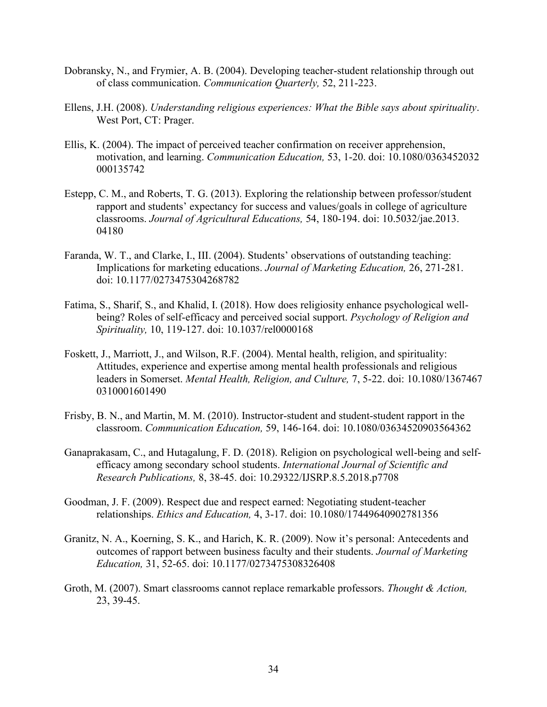- Dobransky, N., and Frymier, A. B. (2004). Developing teacher-student relationship through out of class communication. *Communication Quarterly,* 52, 211-223.
- Ellens, J.H. (2008). *Understanding religious experiences: What the Bible says about spirituality*. West Port, CT: Prager.
- Ellis, K. (2004). The impact of perceived teacher confirmation on receiver apprehension, motivation, and learning. *Communication Education,* 53, 1-20. doi: 10.1080/0363452032 [000135742](https://doi.org/10.1080/0363452032000135742)
- Estepp, C. M., and Roberts, T. G. (2013). Exploring the relationship between professor/student rapport and students' expectancy for success and values/goals in college of agriculture classrooms. *Journal of Agricultural Educations,* 54, 180-194. doi: 10.5032/jae.2013. 04180
- Faranda, W. T., and Clarke, I., III. (2004). Students' observations of outstanding teaching: Implications for marketing educations. *Journal of Marketing Education,* 26, 271-281. [doi: 10.1177/0273475304268782](https://doi.org/10.1177%2F0273475304268782)
- Fatima, S., Sharif, S., and Khalid, I. (2018). How does religiosity enhance psychological wellbeing? Roles of self-efficacy and perceived social support. *Psychology of Religion and Spirituality,* 10, 119-127. [doi: 10.1037/rel0000168](https://psycnet.apa.org/doi/10.1037/rel0000168)
- Foskett, J., Marriott, J., and Wilson, R.F. (2004). Mental health, religion, and spirituality: Attitudes, experience and expertise among mental health professionals and religious leaders in Somerset. *Mental Health, Religion, and Culture,* 7, 5-22. doi: 10.1080/1367467 0310001601490
- Frisby, B. N., and Martin, M. M. (2010). Instructor-student and student-student rapport in the classroom. *Communication Education,* 59, 146-164. doi: 10.1080/03634520903564362
- Ganaprakasam, C., and Hutagalung, F. D. (2018). Religion on psychological well-being and selfefficacy among secondary school students. *International Journal of Scientific and Research Publications,* 8, 38-45. doi: 10.29322/IJSRP.8.5.2018.p7708
- Goodman, J. F. (2009). Respect due and respect earned: Negotiating student-teacher relationships. *Ethics and Education,* 4, 3-17. [doi: 10.1080/17449640902781356](https://psycnet.apa.org/doi/10.1080/17449640902781356)
- Granitz, N. A., Koerning, S. K., and Harich, K. R. (2009). Now it's personal: Antecedents and outcomes of rapport between business faculty and their students. *Journal of Marketing Education,* 31, 52-65. doi: 10.1177/0273475308326408
- Groth, M. (2007). Smart classrooms cannot replace remarkable professors. *Thought & Action,* 23, 39-45.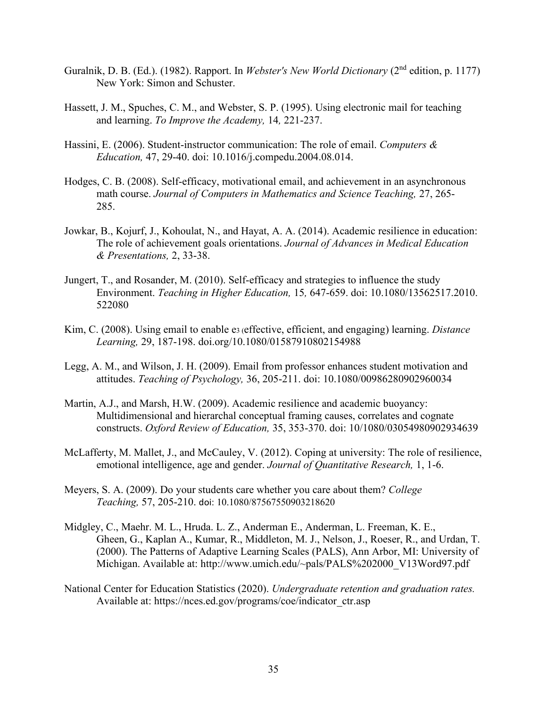- Guralnik, D. B. (Ed.). (1982). Rapport. In *Webster's New World Dictionary* (2nd edition, p. 1177) New York: Simon and Schuster.
- Hassett, J. M., Spuches, C. M., and Webster, S. P. (1995). Using electronic mail for teaching and learning. *To Improve the Academy,* 14*,* 221-237.
- Hassini, E. (2006). Student-instructor communication: The role of email. *Computers & Education,* 47, 29-40. doi: 10.1016/j.compedu.2004.08.014.
- Hodges, C. B. (2008). Self-efficacy, motivational email, and achievement in an asynchronous math course. *Journal of Computers in Mathematics and Science Teaching,* 27, 265- 285.
- Jowkar, B., Kojurf, J., Kohoulat, N., and Hayat, A. A. (2014). Academic resilience in education: The role of achievement goals orientations. *Journal of Advances in Medical Education & Presentations,* 2, 33-38.
- Jungert, T., and Rosander, M. (2010). Self-efficacy and strategies to influence the study Environment. *Teaching in Higher Education,* 15*,* 647-659. doi: 10.1080/13562517.2010. 522080
- Kim, C. (2008). Using email to enable e<sup>3</sup> (effective, efficient, and engaging) learning. *Distance Learning,* 29, 187-198. [doi.org/10.1080/01587910802154988](https://doi.org/10.1080/01587910802154988)
- Legg, A. M., and Wilson, J. H. (2009). Email from professor enhances student motivation and attitudes. *Teaching of Psychology,* 36, 205-211. [doi: 10.1080/00986280902960034](https://psycnet.apa.org/doi/10.1080/00986280902960034)
- Martin, A.J., and Marsh, H.W. (2009). Academic resilience and academic buoyancy: Multidimensional and hierarchal conceptual framing causes, correlates and cognate constructs. *Oxford Review of Education,* 35, 353-370. doi: 10/1080/03054980902934639
- McLafferty, M. Mallet, J., and McCauley, V. (2012). Coping at university: The role of resilience, emotional intelligence, age and gender. *Journal of Quantitative Research,* 1, 1-6.
- Meyers, S. A. (2009). Do your students care whether you care about them? *College Teaching,* 57, 205-210. doi: [10.1080/87567550903218620](https://doi.org/10.1080/87567550903218620)
- Midgley, C., Maehr. M. L., Hruda. L. Z., Anderman E., Anderman, L. Freeman, K. E., Gheen, G., Kaplan A., Kumar, R., Middleton, M. J., Nelson, J., Roeser, R., and Urdan, T. (2000). The Patterns of Adaptive Learning Scales (PALS), Ann Arbor, MI: University of Michigan. Available at: http://www.umich.edu/~pals/PALS%202000\_V13Word97.pdf
- National Center for Education Statistics (2020). *Undergraduate retention and graduation rates.* Available at: [https://nces.ed.gov/programs/coe/indicator\\_ctr.asp](https://nces.ed.gov/programs/coe/indicator_ctr.asp)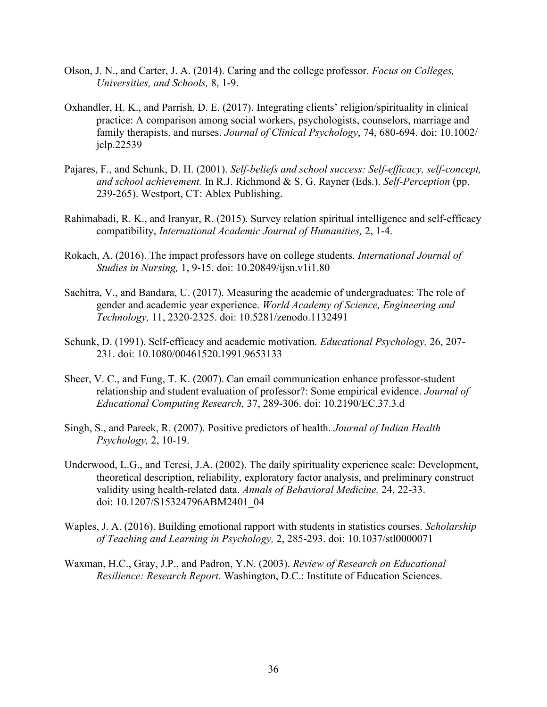- Olson, J. N., and Carter, J. A. (2014). Caring and the college professor. *Focus on Colleges, Universities, and Schools,* 8, 1-9.
- Oxhandler, H. K., and Parrish, D. E. (2017). Integrating clients' religion/spirituality in clinical practice: A comparison among social workers, psychologists, counselors, marriage and family therapists, and nurses. *Journal of Clinical Psychology*, 74, 680-694. doi: 10.1002/ [jclp.22539](https://doi.org/10.1002/jclp.22539)
- Pajares, F., and Schunk, D. H. (2001). *Self-beliefs and school success: Self-efficacy, self-concept, and school achievement.* In R.J. Richmond & S. G. Rayner (Eds.). *Self-Perception* (pp. 239-265). Westport, CT: Ablex Publishing.
- Rahimabadi, R. K., and Iranyar, R. (2015). Survey relation spiritual intelligence and self-efficacy compatibility, *International Academic Journal of Humanities,* 2, 1-4.
- Rokach, A. (2016). The impact professors have on college students. *International Journal of Studies in Nursing,* 1, 9-15. doi: 10.20849/ijsn.v1i1.80
- Sachitra, V., and Bandara, U. (2017). Measuring the academic of undergraduates: The role of gender and academic year experience. *World Academy of Science, Engineering and Technology,* 11, 2320-2325. [doi: 10.5281/zenodo.1132491](https://doi.org/10.5281/zenodo.1132491)
- Schunk, D. (1991). Self-efficacy and academic motivation. *Educational Psychology,* 26, 207- 231. [doi: 10.1080/00461520.1991.9653133](https://doi.org/10.1080/00461520.1991.9653133)
- Sheer, V. C., and Fung, T. K. (2007). Can email communication enhance professor-student relationship and student evaluation of professor?: Some empirical evidence. *Journal of Educational Computing Research,* 37, 289-306. [doi: 10.2190/EC.37.3.d](https://psycnet.apa.org/doi/10.2190/EC.37.3.d)
- Singh, S., and Pareek, R. (2007). Positive predictors of health. *Journal of Indian Health Psychology,* 2, 10-19.
- Underwood, L.G., and Teresi, J.A. (2002). The daily spirituality experience scale: Development, theoretical description, reliability, exploratory factor analysis, and preliminary construct validity using health-related data. *Annals of Behavioral Medicine,* 24, 22-33. doi: [10.1207/S15324796ABM2401\\_04](https://psycnet.apa.org/doi/10.1207/S15324796ABM2401_04)
- Waples, J. A. (2016). Building emotional rapport with students in statistics courses. *Scholarship of Teaching and Learning in Psychology,* 2, 285-293. doi: [10.1037/stl0000071](http://dx.doi.org/10.1037/stl0000071)
- Waxman, H.C., Gray, J.P., and Padron, Y.N. (2003). *Review of Research on Educational Resilience: Research Report.* Washington, D.C.: Institute of Education Sciences.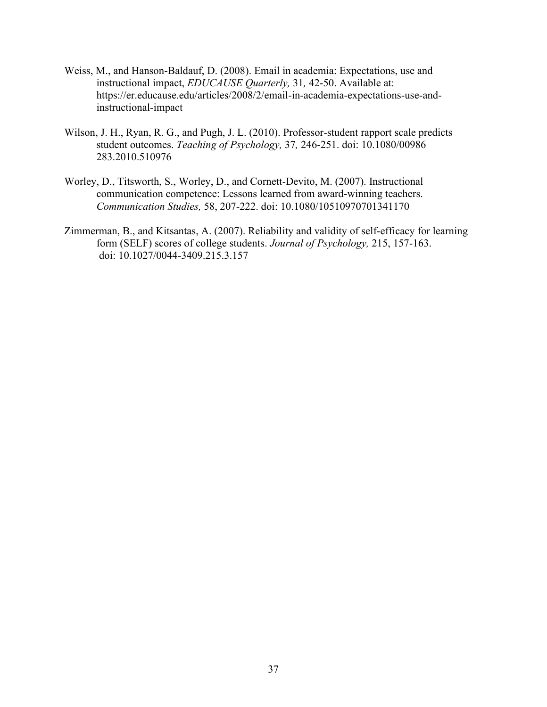- Weiss, M., and Hanson-Baldauf, D. (2008). Email in academia: Expectations, use and instructional impact, *EDUCAUSE Quarterly,* 31*,* 42-50. Available at: [https://er.educause.edu/articles/2008/2/email-in-academia-expectations-use-and](https://er.educause.edu/articles/2008/2/email-in-academia-expectations-use-and-)instructional-impact
- Wilson, J. H., Ryan, R. G., and Pugh, J. L. (2010). Professor-student rapport scale predicts student outcomes. *Teaching of Psychology,* 37*,* 246-251. [doi: 10.1080/00986](https://psycnet.apa.org/doi/10.1080/00986283.2010.510976) [283.2010.510976](https://psycnet.apa.org/doi/10.1080/00986283.2010.510976)
- Worley, D., Titsworth, S., Worley, D., and Cornett-Devito, M. (2007). Instructional communication competence: Lessons learned from award-winning teachers. *Communication Studies,* 58, 207-222. doi: [10.1080/10510970701341170](https://doi.org/10.1080/10510970701341170)
- Zimmerman, B., and Kitsantas, A. (2007). Reliability and validity of self-efficacy for learning form (SELF) scores of college students. *Journal of Psychology,* 215, 157-163. [doi: 10.1027/0044-3409.215.3.157](https://psycnet.apa.org/doi/10.1027/0044-3409.215.3.157)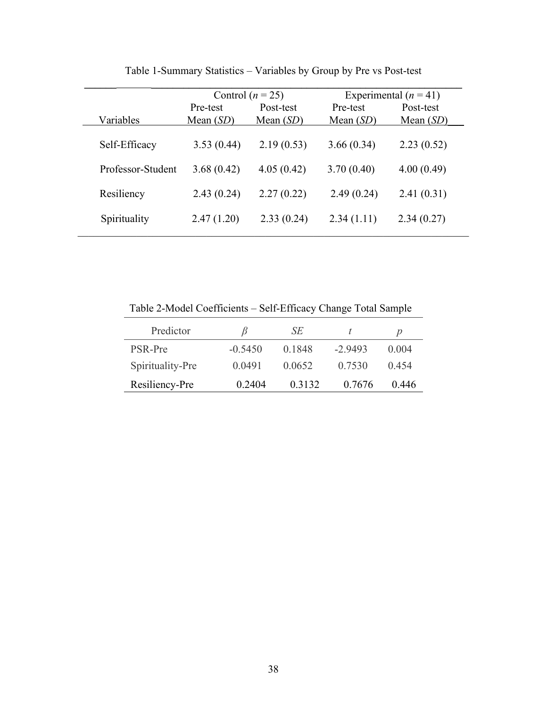|                   | Control $(n = 25)$      |                          |                         | Experimental $(n = 41)$  |
|-------------------|-------------------------|--------------------------|-------------------------|--------------------------|
| Variables         | Pre-test<br>Mean $(SD)$ | Post-test<br>Mean $(SD)$ | Pre-test<br>Mean $(SD)$ | Post-test<br>Mean $(SD)$ |
| Self-Efficacy     | 3.53(0.44)              | 2.19(0.53)               | 3.66(0.34)              | 2.23(0.52)               |
| Professor-Student | 3.68(0.42)              | 4.05(0.42)               | 3.70(0.40)              | 4.00(0.49)               |
| Resiliency        | 2.43(0.24)              | 2.27(0.22)               | 2.49(0.24)              | 2.41(0.31)               |
| Spirituality      | 2.47(1.20)              | 2.33(0.24)               | 2.34(1.11)              | 2.34(0.27)               |

Table 1-Summary Statistics – Variables by Group by Pre vs Post-test

Table 2-Model Coefficients – Self-Efficacy Change Total Sample

| Predictor        |           | SЕ     |           | D     |
|------------------|-----------|--------|-----------|-------|
| PSR-Pre          | $-0.5450$ | 0.1848 | $-2.9493$ | 0.004 |
| Spirituality-Pre | 0.0491    | 0.0652 | 0.7530    | 0.454 |
| Resiliency-Pre   | 0.2404    | 0.3132 | 0.7676    | 0.446 |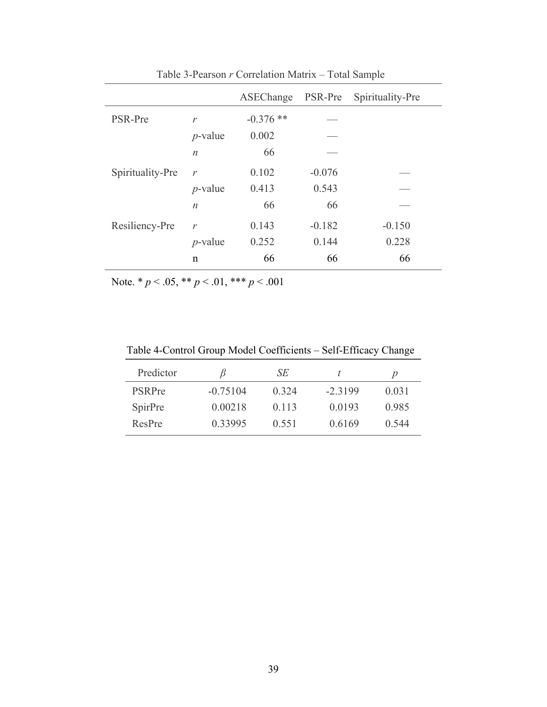|                  |                  | ASEChange   | PSR-Pre  | Spirituality-Pre |
|------------------|------------------|-------------|----------|------------------|
| PSR-Pre          | $\mathcal{V}$    | $-0.376$ ** |          |                  |
|                  | $p$ -value       | 0.002       |          |                  |
|                  | $\boldsymbol{n}$ | 66          |          |                  |
| Spirituality-Pre | $\mathcal{V}$    | 0.102       | $-0.076$ |                  |
|                  | $p$ -value       | 0.413       | 0.543    |                  |
|                  | $\boldsymbol{n}$ | 66          | 66       |                  |
| Resiliency-Pre   | $\mathcal{V}$    | 0.143       | $-0.182$ | $-0.150$         |
|                  | $p$ -value       | 0.252       | 0.144    | 0.228            |
|                  | $\mathbf n$      | 66          | 66       | 66               |

Table 3-Pearson *r* Correlation Matrix – Total Sample

Note. \* *p* < .05, \*\* *p* < .01, \*\*\* *p* < .001

Table 4-Control Group Model Coefficients – Self-Efficacy Change

| Predictor     |            | SЕ    |           | p     |
|---------------|------------|-------|-----------|-------|
| <b>PSRPre</b> | $-0.75104$ | 0.324 | $-2.3199$ | 0.031 |
| SpirPre       | 0.00218    | 0.113 | 0.0193    | 0.985 |
| ResPre        | 0.33995    | 0.551 | 0.6169    | 0.544 |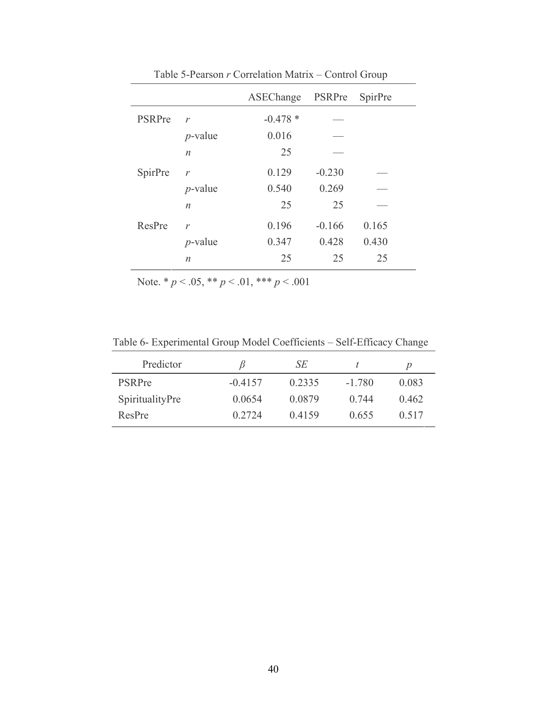|                  |           |          | $\frac{1}{2}$    |
|------------------|-----------|----------|------------------|
|                  |           |          | SpirPre          |
| $\mathcal{V}$    | $-0.478*$ |          |                  |
| $p$ -value       | 0.016     |          |                  |
| $\boldsymbol{n}$ | 25        |          |                  |
| $\mathcal{V}$    | 0.129     | $-0.230$ |                  |
| $p$ -value       | 0.540     | 0.269    |                  |
| $\boldsymbol{n}$ | 25        | 25       |                  |
| $\mathcal{V}$    | 0.196     | $-0.166$ | 0.165            |
| $p$ -value       | 0.347     | 0.428    | 0.430            |
| $\boldsymbol{n}$ | 25        | 25       | 25               |
|                  |           |          | ASEChange PSRPre |

Table 5-Pearson *r* Correlation Matrix – Control Group

Note. \* *p* < .05, \*\* *p* < .01, \*\*\* *p* < .001

Table 6- Experimental Group Model Coefficients – Self-Efficacy Change

| Predictor       |           | SЕ     |          | D     |
|-----------------|-----------|--------|----------|-------|
| <b>PSRPre</b>   | $-0.4157$ | 0.2335 | $-1.780$ | 0.083 |
| SpiritualityPre | 0.0654    | 0.0879 | 0.744    | 0.462 |
| ResPre          | 0.2724    | 0.4159 | 0.655    | 0.517 |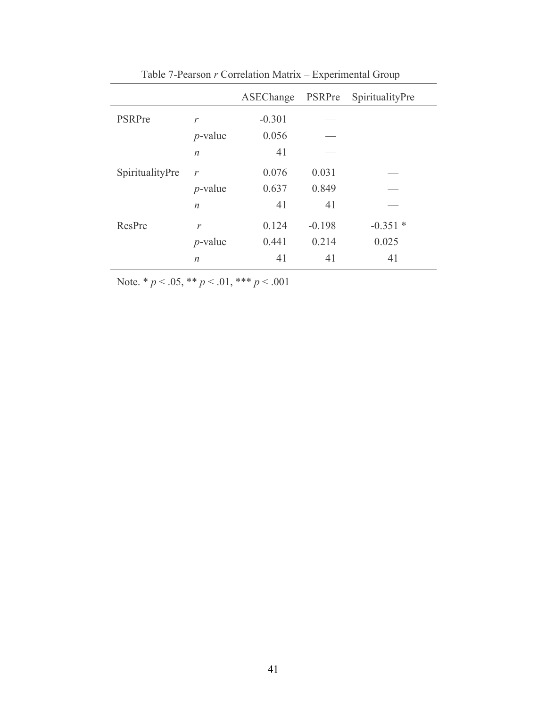|                 |                  | ASEChange | PSRPre   | SpiritualityPre |
|-----------------|------------------|-----------|----------|-----------------|
| PSRPre          | $\mathcal{V}$    | $-0.301$  |          |                 |
|                 | $p$ -value       | 0.056     |          |                 |
|                 | $\boldsymbol{n}$ | 41        |          |                 |
| SpiritualityPre | $\mathcal{V}$    | 0.076     | 0.031    |                 |
|                 | $p$ -value       | 0.637     | 0.849    |                 |
|                 | $\boldsymbol{n}$ | 41        | 41       |                 |
| ResPre          | $\mathcal{V}$    | 0.124     | $-0.198$ | $-0.351*$       |
|                 | $p$ -value       | 0.441     | 0.214    | 0.025           |
|                 | $\boldsymbol{n}$ | 41        | 41       | 41              |

Table 7-Pearson *r* Correlation Matrix – Experimental Group

Note. \* *p* < .05, \*\* *p* < .01, \*\*\* *p* < .001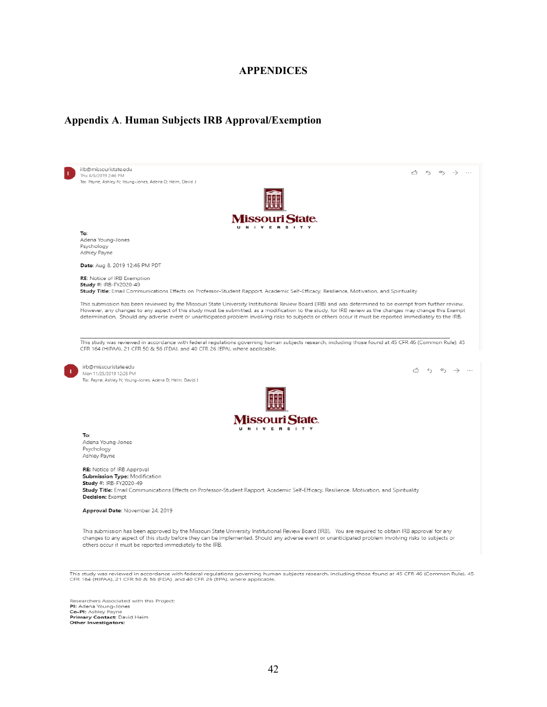#### **APPENDICES**

#### **Appendix A**. **Human Subjects IRB Approval/Exemption**



This study was reviewed in accordance with federal regulations governing human subjects research, including those found at 45 CFR 46 (Common Rule), 45<br>CFR 164 (HIPAA), 21 CFR 50 & 56 (FDA), and 40 CFR 26 (EPA), where appli

Researchers Associated with this Project:<br>PI: Adena Young-Jones **Co-PI:** Ashley Payme<br>**Primary Contact:** David Heim<br>**Other Investigators:**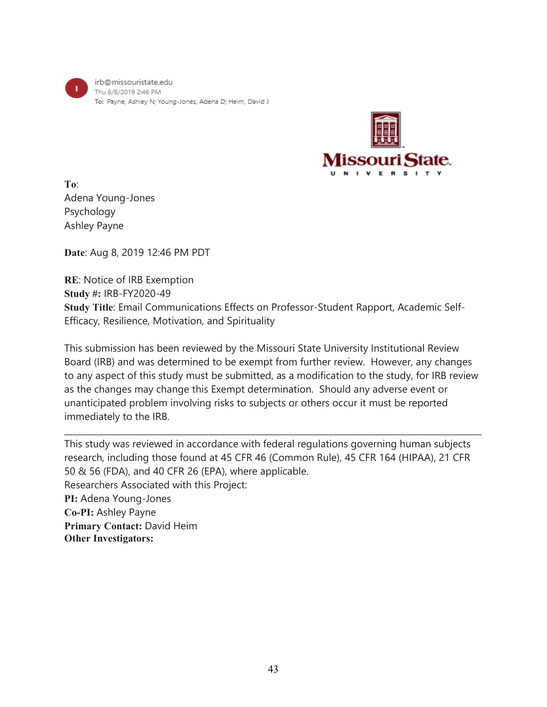irb@missouristate.edu Thu 8/8/2019 2:46 PM To: Payne, Ashley N; Young-Jones, Adena D; Heim, David J



**To**: Adena Young-Jones Psychology Ashley Payne

**Date**: Aug 8, 2019 12:46 PM PDT

**RE**: Notice of IRB Exemption **Study #:** IRB-FY2020-49 **Study Title**: Email Communications Effects on Professor-Student Rapport, Academic Self-Efficacy, Resilience, Motivation, and Spirituality

This submission has been reviewed by the Missouri State University Institutional Review Board (IRB) and was determined to be exempt from further review. However, any changes to any aspect of this study must be submitted, as a modification to the study, for IRB review as the changes may change this Exempt determination. Should any adverse event or unanticipated problem involving risks to subjects or others occur it must be reported immediately to the IRB.

\_\_\_\_\_\_\_\_\_\_\_\_\_\_\_\_\_\_\_\_\_\_\_\_\_\_\_\_\_\_\_\_\_\_\_\_\_\_\_\_\_\_\_\_\_\_\_\_\_\_\_\_\_\_\_\_\_\_\_\_\_\_\_\_\_\_\_\_\_\_\_\_\_\_\_\_\_\_\_\_\_\_\_\_\_\_\_\_\_\_\_\_\_\_\_\_\_\_

This study was reviewed in accordance with federal regulations governing human subjects research, including those found at 45 CFR 46 (Common Rule), 45 CFR 164 (HIPAA), 21 CFR 50 & 56 (FDA), and 40 CFR 26 (EPA), where applicable. Researchers Associated with this Project: **PI:** Adena Young-Jones **Co-PI:** Ashley Payne **Primary Contact:** David Heim **Other Investigators:**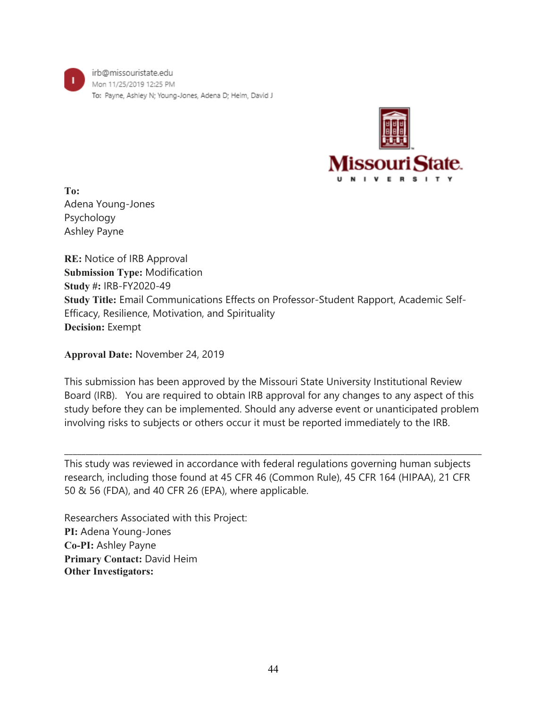irb@missouristate.edu Mon 11/25/2019 12:25 PM To: Payne, Ashley N; Young-Jones, Adena D; Heim, David J



**To:** Adena Young-Jones Psychology Ashley Payne

**RE:** Notice of IRB Approval **Submission Type:** Modification **Study #:** IRB-FY2020-49 **Study Title:** Email Communications Effects on Professor-Student Rapport, Academic Self-Efficacy, Resilience, Motivation, and Spirituality **Decision:** Exempt

**Approval Date:** November 24, 2019

This submission has been approved by the Missouri State University Institutional Review Board (IRB). You are required to obtain IRB approval for any changes to any aspect of this study before they can be implemented. Should any adverse event or unanticipated problem involving risks to subjects or others occur it must be reported immediately to the IRB.

This study was reviewed in accordance with federal regulations governing human subjects research, including those found at 45 CFR 46 (Common Rule), 45 CFR 164 (HIPAA), 21 CFR 50 & 56 (FDA), and 40 CFR 26 (EPA), where applicable.

 $\_$  ,  $\_$  ,  $\_$  ,  $\_$  ,  $\_$  ,  $\_$  ,  $\_$  ,  $\_$  ,  $\_$  ,  $\_$  ,  $\_$  ,  $\_$  ,  $\_$  ,  $\_$  ,  $\_$  ,  $\_$  ,  $\_$  ,  $\_$  ,  $\_$  ,  $\_$  ,  $\_$  ,  $\_$  ,  $\_$  ,  $\_$  ,  $\_$  ,  $\_$  ,  $\_$  ,  $\_$  ,  $\_$  ,  $\_$  ,  $\_$  ,  $\_$  ,  $\_$  ,  $\_$  ,  $\_$  ,  $\_$  ,  $\_$  ,

Researchers Associated with this Project: **PI:** Adena Young-Jones **Co-PI:** Ashley Payne **Primary Contact:** David Heim **Other Investigators:**